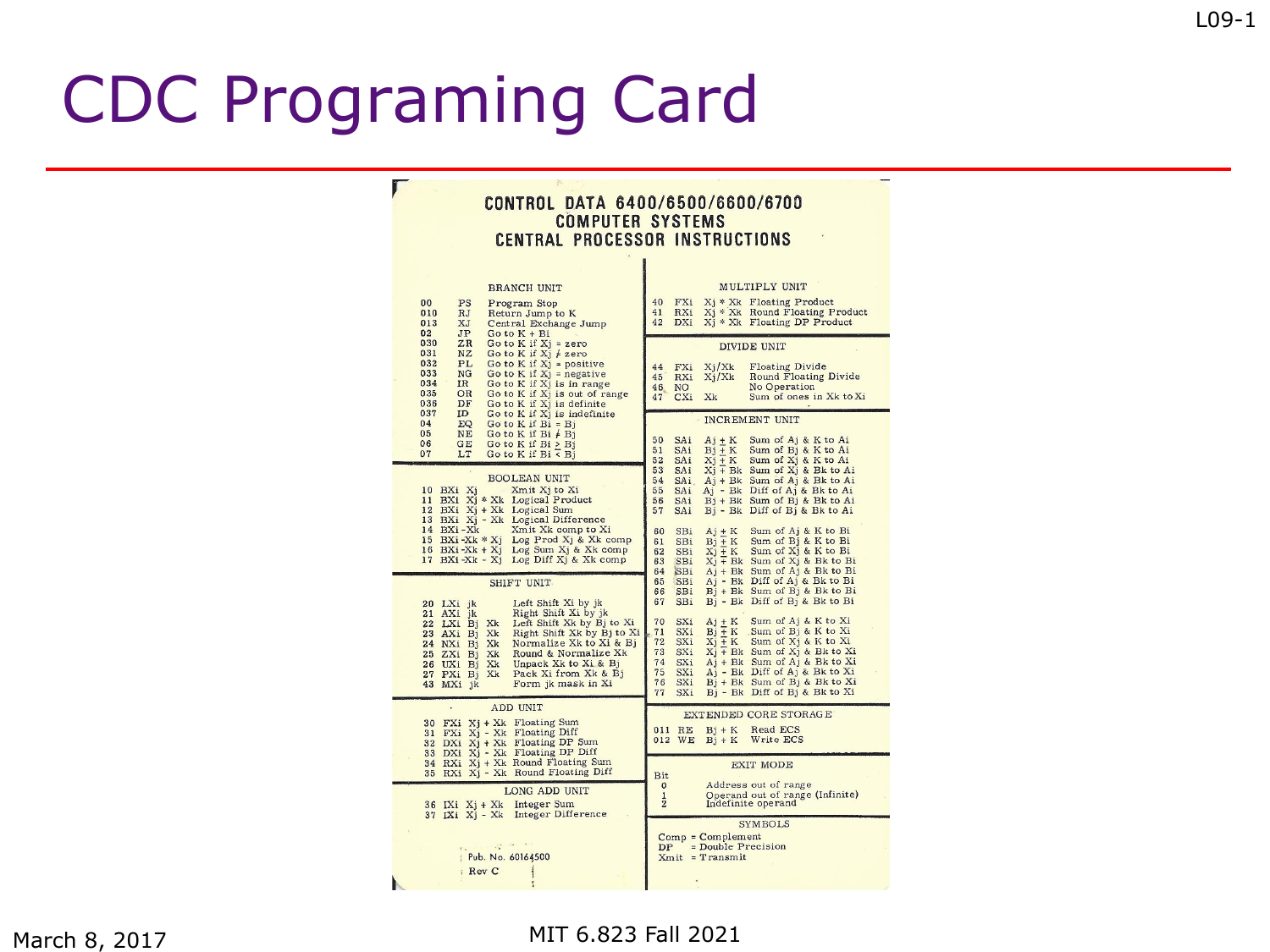Г

|  |                         | CONTROL DATA 6400/6500/6600/6700 |
|--|-------------------------|----------------------------------|
|  | <b>COMPUTER SYSTEMS</b> |                                  |
|  |                         | CENTRAL PROCESSOR INSTRUCTIONS   |

| <b>BRANCH UNIT</b>                                                                                                                                                                                                                                                                                                                                                                   | MULTIPLY UNIT                                                                                                                                                                                                                                                                                                                                                                                                                                                                                                                                                                                        |  |  |  |  |
|--------------------------------------------------------------------------------------------------------------------------------------------------------------------------------------------------------------------------------------------------------------------------------------------------------------------------------------------------------------------------------------|------------------------------------------------------------------------------------------------------------------------------------------------------------------------------------------------------------------------------------------------------------------------------------------------------------------------------------------------------------------------------------------------------------------------------------------------------------------------------------------------------------------------------------------------------------------------------------------------------|--|--|--|--|
| 00<br>PS<br>Program Stop<br>010<br>RJ<br>Return Jump to K<br>013<br>XJ<br>Central Exchange Jump<br>02<br>JP<br>Go to $K + Bi$                                                                                                                                                                                                                                                        | 40<br>FXi<br>$Xi^*$ Xk Floating Product<br>Xj * Xk Round Floating Product<br>RXi<br>41<br>42<br>DXi<br>X <sub>1</sub> * Xk Floating DP Product                                                                                                                                                                                                                                                                                                                                                                                                                                                       |  |  |  |  |
| 030<br>ZR<br>Go to K if $Xi = zero$<br>031<br>NZ<br>Go to K if $Xj \neq zero$<br>032<br>PL<br>Go to $K$ if $Xj$ = positive<br>033<br>NG<br>Go to $K$ if $Xj$ = negative<br>034<br>IR<br>Go to K if Xj is in range<br>035<br>Go to K if Xj is out of range<br>OR<br>036<br>DF<br>Go to K if Xj is definite                                                                            | <b>DIVIDE UNIT</b><br>Xj/Xk<br><b>Floating Divide</b><br>44<br>FXi<br>Round Floating Divide<br>45<br>RXi<br>$X_i/Xk$<br>No Operation<br>46<br>NO.<br>Sum of ones in Xk to Xi<br>CXi<br>Xk<br>47                                                                                                                                                                                                                                                                                                                                                                                                      |  |  |  |  |
| 037<br>ID<br>Go to K if Xi is indefinite<br>04<br>EQ<br>Go to K if $Bi = Bj$<br>NE<br>Go to K if $Bi \neq Bj$<br>05<br>06<br>GE<br>Go to $K$ if $Bi > Bj$<br>07<br>LT<br>Go to K if $Bi < Bj$                                                                                                                                                                                        | <b>INCREMENT UNIT</b><br>Sum of Aj & K to Ai<br>50<br>SAi<br>$Aj + K$<br>Sum of Bj & K to Ai<br>51<br>SAi<br>$Bj + K$<br>$Xi + K$<br>Sum of Xj & K to Ai<br>52<br>SAi                                                                                                                                                                                                                                                                                                                                                                                                                                |  |  |  |  |
| <b>BOOLEAN UNIT</b><br>10 BXi Xj<br>Xmit Xj to Xi<br>11 BXi Xj * Xk Logical Product<br>12 BXi Xj + Xk Logical Sum<br>13 BXi Xj - Xk Logical Difference                                                                                                                                                                                                                               | 53<br>SAi<br>Xj + Bk Sum of Xj & Bk to Ai<br>54<br>Aj + Bk Sum of Aj & Bk to Ai<br><b>SAi</b><br>55<br>SAi<br>Aj - Bk Diff of Aj & Bk to Ai<br>Bj + Bk Sum of Bj & Bk to Ai<br>56<br>SAi<br>Bj - Bk Diff of Bj & Bk to Ai<br>57<br>SAi                                                                                                                                                                                                                                                                                                                                                               |  |  |  |  |
| 14 BXi-Xk<br>Xmit Xk comp to Xi<br>Log Prod Xj & Xk comp<br>15 BXi -Xk $*$ X <sub>j</sub><br>Log Sum Xj & Xk comp<br>$16$ BXi-Xk + Xj<br>Log Diff Xj & Xk comp<br>17 BXi-Xk - Xj                                                                                                                                                                                                     | Sum of Aj & K to Bi<br>60<br>$Aj + K$<br>SBi<br>$Bi + K$<br>Sum of Bj & K to Bi<br>61<br>SBi<br>Sum of X <sub>j</sub> & K to Bi<br>SBi<br>$Xj + K$<br>62<br>$X_i$ + Bk Sum of $X_i$ & Bk to Bi<br>63<br>SBi<br>Aj + Bk Sum of Aj & Bk to Bi<br>64<br>SBi                                                                                                                                                                                                                                                                                                                                             |  |  |  |  |
| SHIFT UNIT<br>Left Shift Xi by jk<br>20 LXi jk<br>Right Shift Xi by jk<br>21 AXi jk<br>Left Shift Xk by Bj to Xi<br>22 LXi Bj Xk<br>Right Shift Xk by Bj to Xi<br>23 AXi Bj Xk<br>Normalize Xk to Xi & Bj<br>24 NXi Bj Xk<br>Round & Normalize Xk<br>25 ZXi Bj Xk<br>Unpack Xk to Xi & Bj<br>26 UXi Bj Xk<br>Pack Xi from Xk & Bj<br>27 PXi Bj Xk<br>Form jk mask in Xi<br>43 MXi jk | SBi<br>$Ai - Bk$ Diff of $Aj & Bk$ to Bi<br>65<br>Bj + Bk Sum of Bj & Bk to Bi<br>SBi<br>66<br>Bj - Bk Diff of Bj & Bk to Bi<br>67<br>SBi<br>70<br>Sum of Aj & K to Xi<br>SXi<br>$Aj + K$<br>Sum of $B$ & $K$ to $Xi$<br>71<br>SXi<br>$Bi + K$<br>$X_1 + K$<br>Sum of X <sub>j</sub> & K to Xi<br>72<br>SXi<br>73<br>SXi<br>$X_j$ + Bk Sum of $X_j$ & Bk to Xi<br>Aj + Bk Sum of Aj & Bk to Xi<br>SXi<br>74<br>A <sub>j</sub> - Bk Diff of A <sub>j</sub> & Bk to Xi<br>75<br>SXi<br>SXi<br>B <sub>i</sub> + Bk Sum of B <sub>j</sub> & Bk to Xi<br>76<br>Bj - Bk Diff of Bj & Bk to Xi<br>77<br>SXi |  |  |  |  |
| <b>ADD UNIT</b><br>30 $FXi$ $Xj + Xk$ Floating Sum<br>31 FXi Xj - Xk Floating Diff<br>32 DXi Xj + Xk Floating DP Sum<br>33 DXi Xj - Xk Floating DP Diff                                                                                                                                                                                                                              | EXTENDED CORE STORAGE<br>011 RE<br>$Bi+K$<br>Read ECS<br>012 WE<br>Write ECS<br>$Bj + K$                                                                                                                                                                                                                                                                                                                                                                                                                                                                                                             |  |  |  |  |
| 34 RXi Xj + Xk Round Floating Sum<br>35 RXi Xj - Xk Round Floating Diff<br>LONG ADD UNIT                                                                                                                                                                                                                                                                                             | <b>EXIT MODE</b><br>Bit<br>Address out of range<br>$\mathbf{O}$<br>Operand out of range (Infinite)<br>$\mathbf{1}$                                                                                                                                                                                                                                                                                                                                                                                                                                                                                   |  |  |  |  |
| 36 IXi Xj + Xk Integer Sum<br>37 IXi Xj - Xk Integer Difference<br><b>SEP 17</b><br>Pub. No. 60164500<br>: Rev C                                                                                                                                                                                                                                                                     | $\overline{\mathbf{2}}$<br>Indefinite operand<br><b>SYMBOLS</b><br>$Comp = Complement$<br>= Double Precision<br>DP<br>$Xmit = Transmit$                                                                                                                                                                                                                                                                                                                                                                                                                                                              |  |  |  |  |
|                                                                                                                                                                                                                                                                                                                                                                                      |                                                                                                                                                                                                                                                                                                                                                                                                                                                                                                                                                                                                      |  |  |  |  |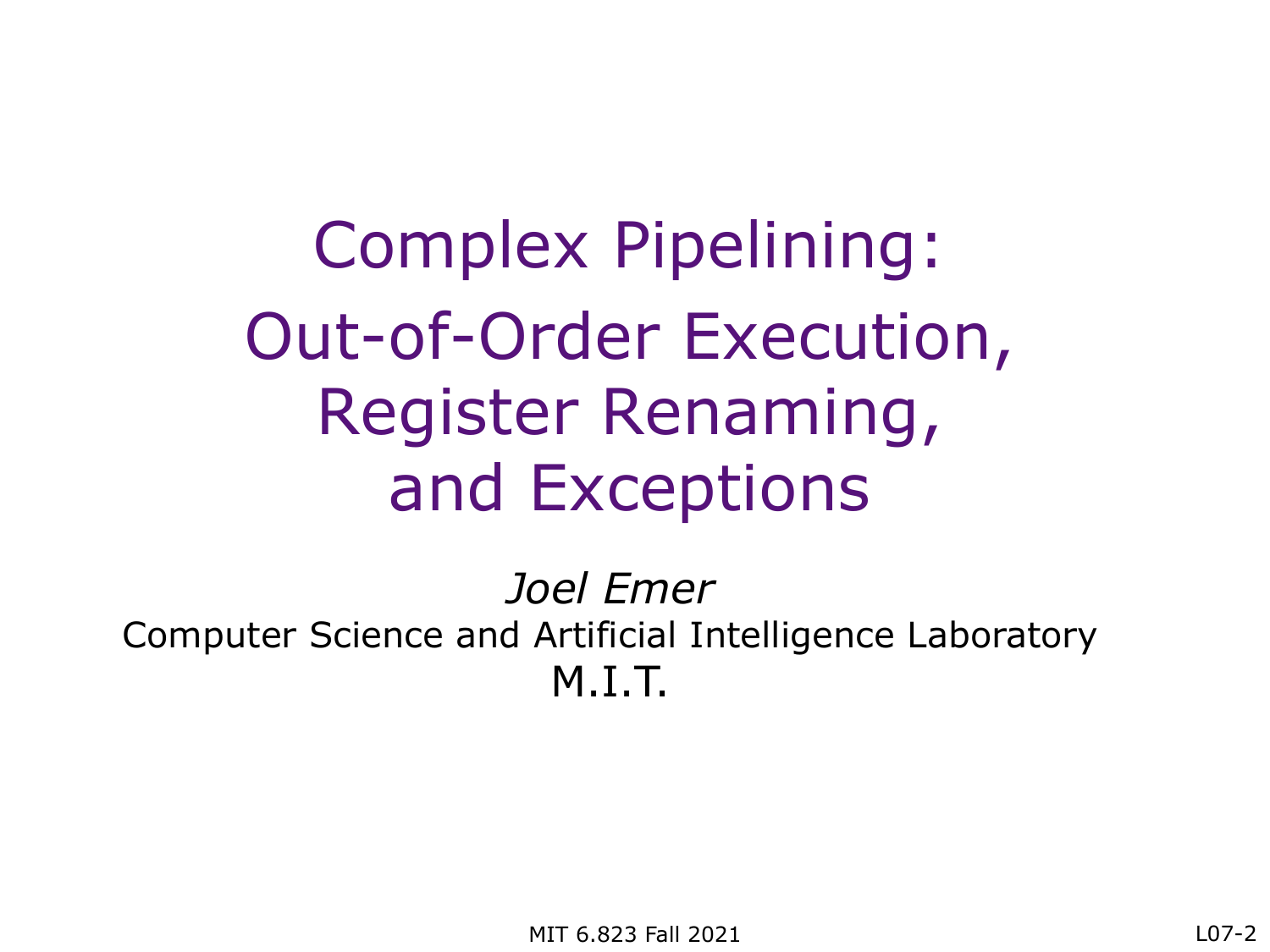Complex Pipelining: Out-of-Order Execution, Register Renaming, and Exceptions

*Joel Emer* Computer Science and Artificial Intelligence Laboratory M.I.T.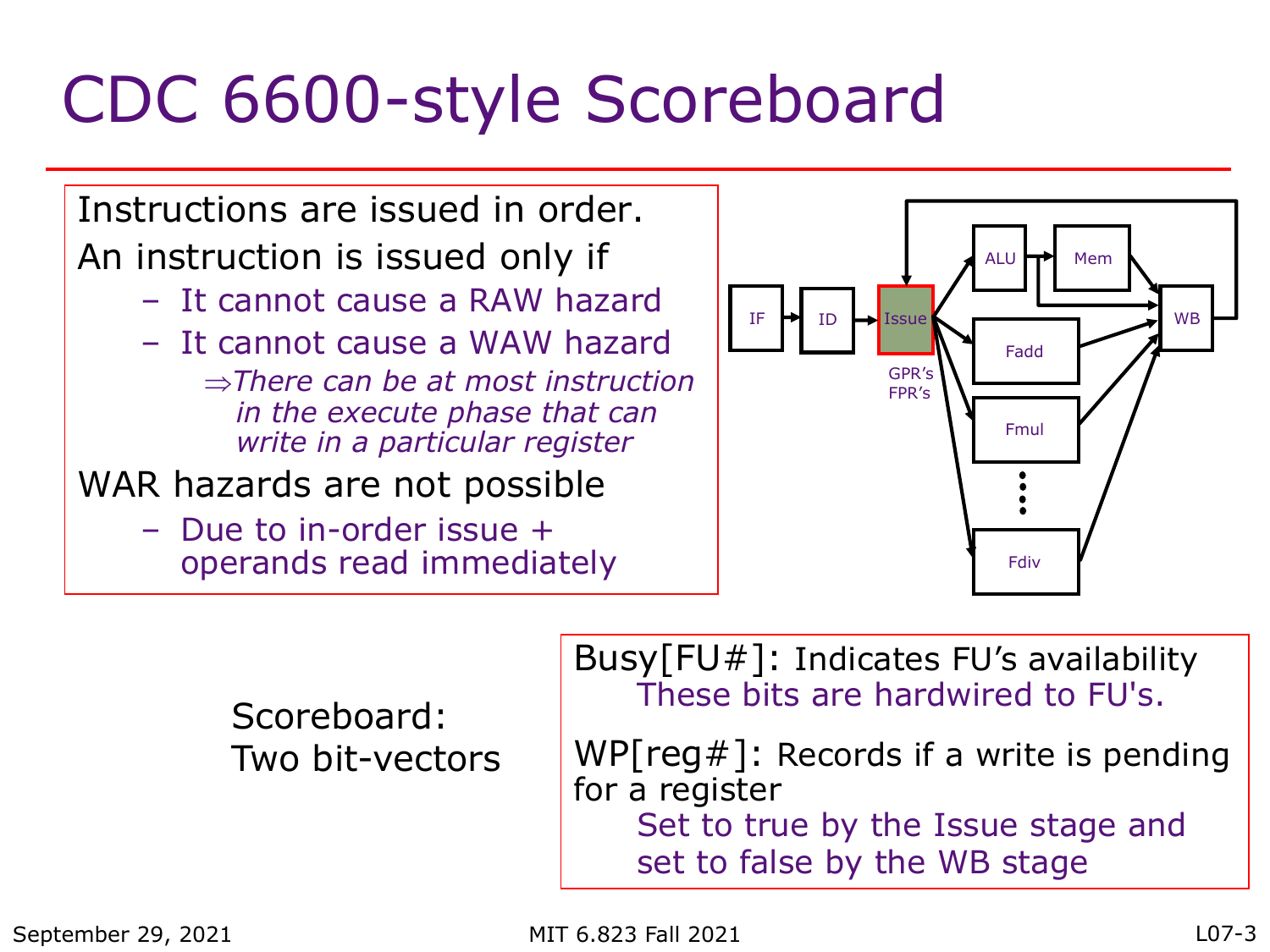# CDC 6600-style Scoreboard

Instructions are issued in order. An instruction is issued only if

- It cannot cause a RAW hazard
- It cannot cause a WAW hazard
	- Þ*There can be at most instruction in the execute phase that can write in a particular register*
- WAR hazards are not possible
	- Due to in-order issue + operands read immediately



Scoreboard: Two bit-vectors Busy[FU#]: Indicates FU's availability These bits are hardwired to FU's.

WP[ $reg#$ ]: Records if a write is pending for a register Set to true by the Issue stage and set to false by the WB stage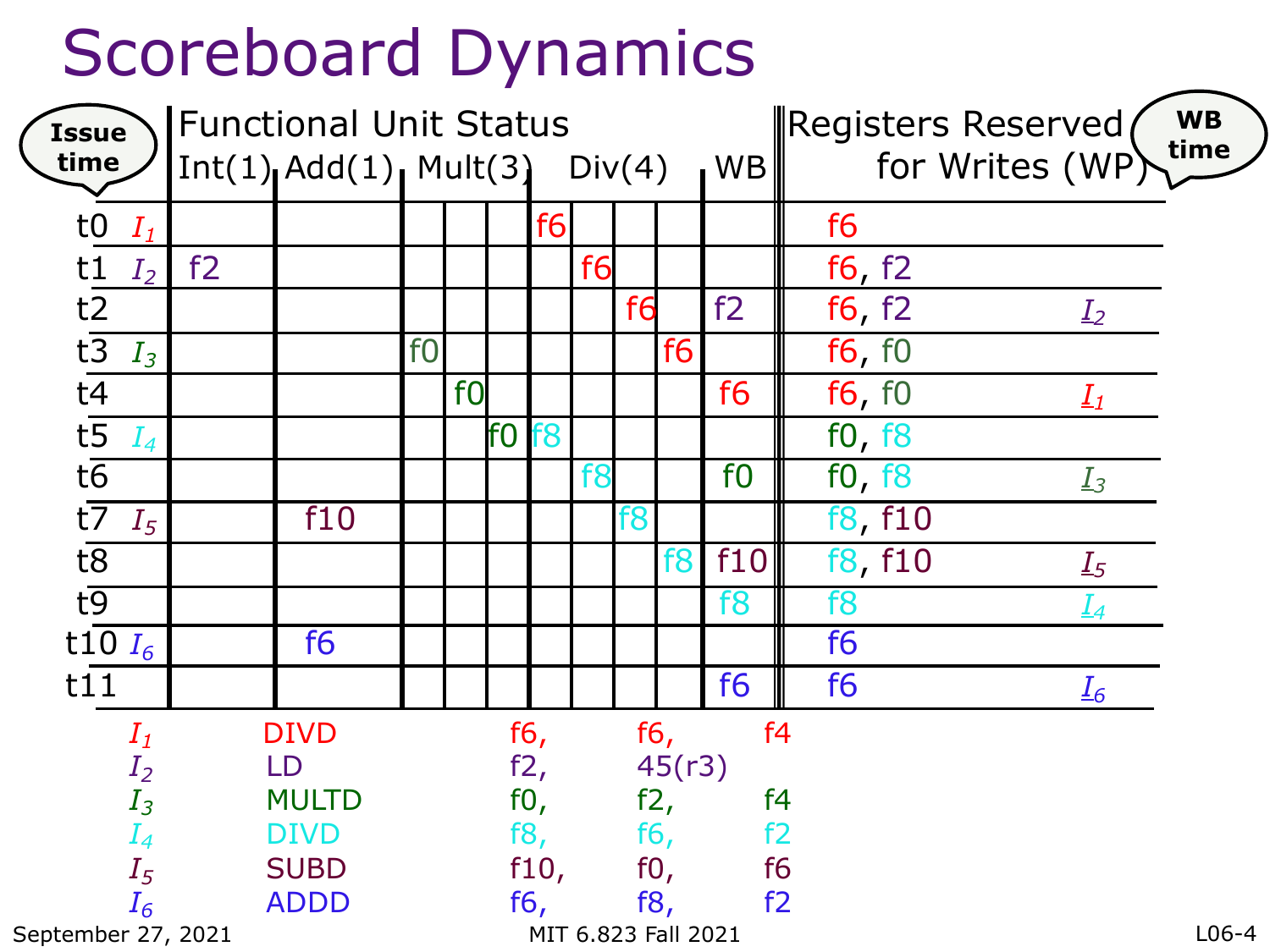### Scoreboard Dynamics

| <b>Issue</b><br>time     | <b>Functional Unit Status</b><br>$Int(1)$ $Add(1)$ $Mult(3)$ $Div(4)$<br><b>WB</b> |                |                |                |                               |      | <b>WB</b><br>Registers Reserved<br>time<br>for Writes (WP) |                |                |                |                                     |
|--------------------------|------------------------------------------------------------------------------------|----------------|----------------|----------------|-------------------------------|------|------------------------------------------------------------|----------------|----------------|----------------|-------------------------------------|
| to $I_1$                 |                                                                                    |                |                |                |                               | f6   |                                                            |                |                |                | f6                                  |
| t1<br>$I_2$              | f2                                                                                 |                |                |                |                               |      | f6                                                         |                |                |                | f6, f2                              |
| $t\overline{2}$          |                                                                                    |                |                |                |                               |      |                                                            | f <sub>6</sub> |                | f2             | f6, f2                              |
| $t\overline{3}$          |                                                                                    |                | f <sub>0</sub> |                |                               |      |                                                            |                | f <sub>6</sub> |                | $I_2$                               |
| $I_3$                    |                                                                                    |                |                |                |                               |      |                                                            |                |                |                | f6, f0                              |
| $t\overline{4}$          |                                                                                    |                |                | f <sub>0</sub> |                               |      |                                                            |                |                | f <sub>6</sub> | f6, f0<br>$I_1$                     |
| $t\overline{5}$<br>$I_4$ |                                                                                    |                |                |                | f <sub>0</sub> f <sub>8</sub> |      |                                                            |                |                |                | f0, f8                              |
| $t\overline{6}$          |                                                                                    |                |                |                |                               |      | f <sub>8</sub>                                             |                |                | f <sub>0</sub> | f0, f8<br>$I_3$                     |
| $t\overline{7}$<br>$I_5$ |                                                                                    | f10            |                |                |                               |      |                                                            | f8             |                |                | f8, f10                             |
| $t\overline{8}$          |                                                                                    |                |                |                |                               |      |                                                            |                | f8             | f10            | f8, f10<br>$I_5$                    |
| $t\overline{9}$          |                                                                                    |                |                |                |                               |      |                                                            |                |                | f <sub>8</sub> | f <sub>8</sub><br>$I_4$             |
| t10 $I_6$                |                                                                                    | f <sub>6</sub> |                |                |                               |      |                                                            |                |                |                | f <sub>6</sub>                      |
| t11                      |                                                                                    |                |                |                |                               |      |                                                            |                |                | f <sub>6</sub> | f <sub>6</sub><br>$\underline{I_6}$ |
| $I_1$                    |                                                                                    | <b>DIVD</b>    |                |                |                               | f6,  |                                                            | f6,            |                |                | f <sub>4</sub>                      |
| $I_2$                    |                                                                                    | LD             |                |                |                               | f2,  |                                                            |                | 45(r3)         |                |                                     |
| $I_3$                    |                                                                                    | <b>MULTD</b>   |                |                |                               | f0,  |                                                            | f2,            |                |                | f <sub>4</sub>                      |
| $I_4$                    |                                                                                    | <b>DIVD</b>    |                |                |                               | f8,  |                                                            |                | f6,            | f2             |                                     |
| $I_5$                    |                                                                                    | <b>SUBD</b>    |                |                |                               | f10, |                                                            | f0,            |                |                | f <sub>6</sub>                      |
| $I_6$                    |                                                                                    | <b>ADDD</b>    |                |                |                               | f6,  |                                                            | f8,            |                |                | f2                                  |
|                          | $L$ 06-4<br>MIT 6.823 Fall 2021<br>September 27, 2021                              |                |                |                |                               |      |                                                            |                |                |                |                                     |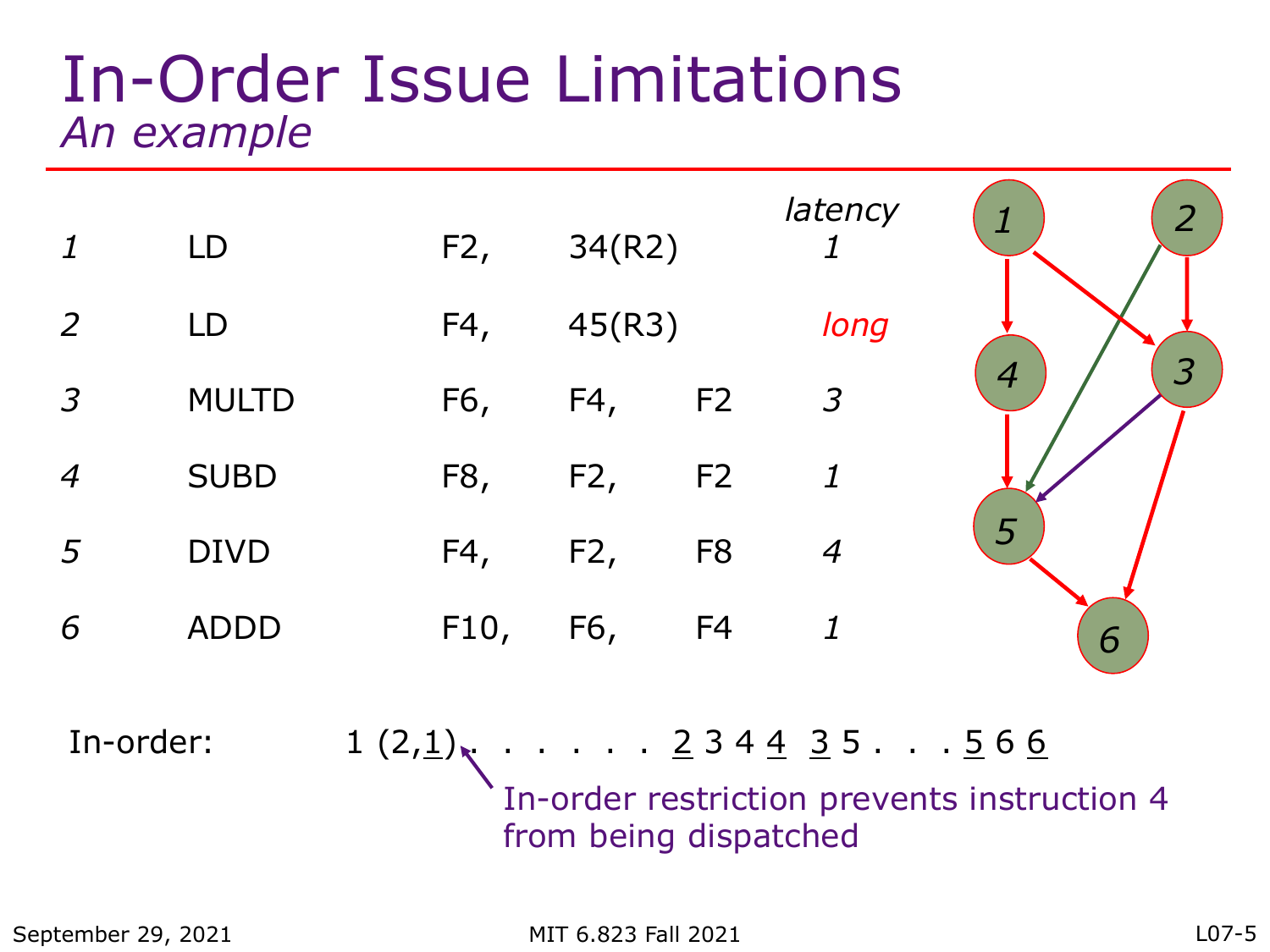#### In-Order Issue Limitations *An example*



In-order:  $1 (2,1)$ , ..... 2 3 4 4 3 5 ... 5 6 6 In-order restriction prevents instruction 4 from being dispatched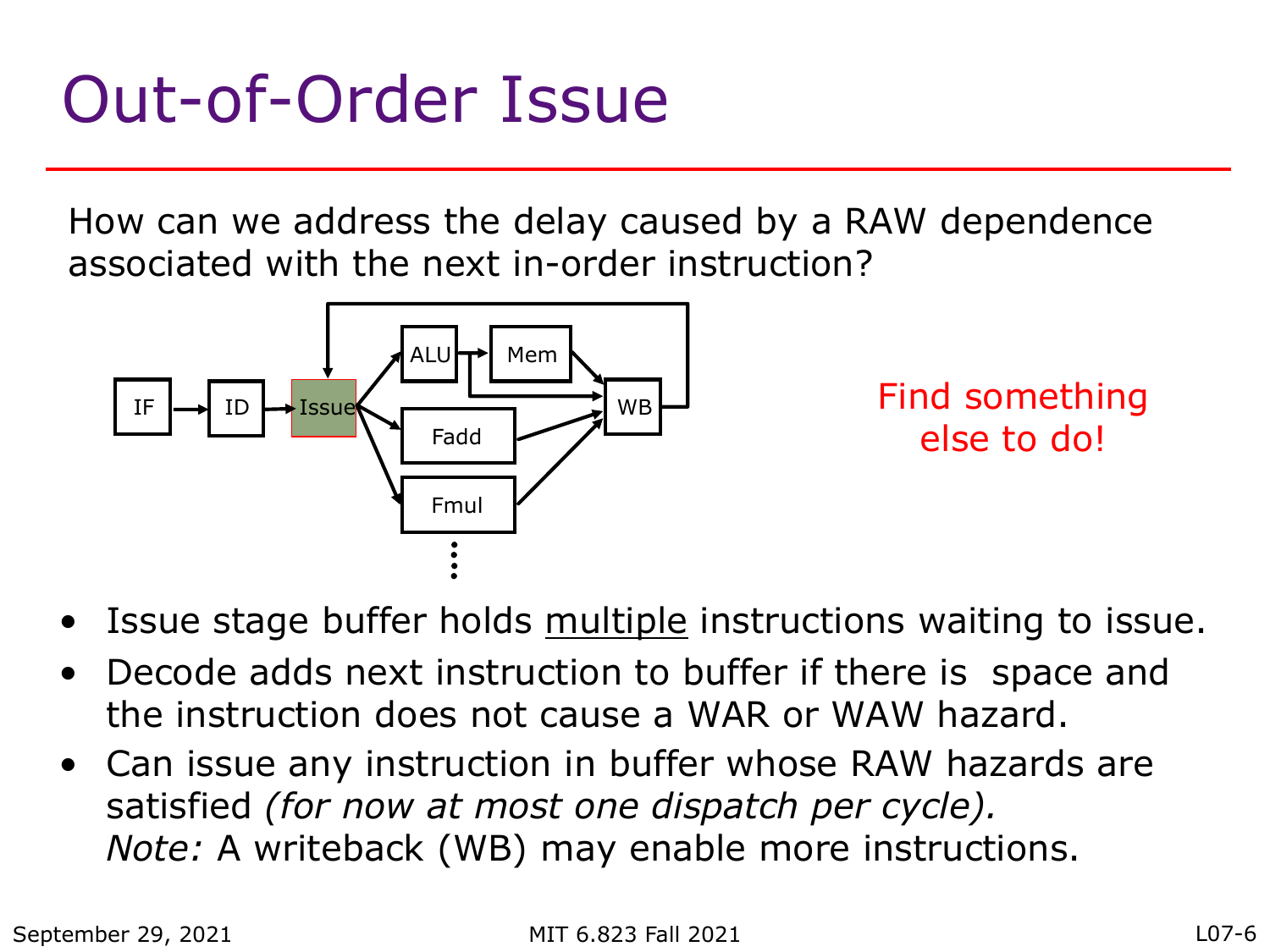### Out-of-Order Issue

How can we address the delay caused by a RAW dependence associated with the next in-order instruction?



Find something else to do!

- Issue stage buffer holds multiple instructions waiting to issue.
- Decode adds next instruction to buffer if there is space and the instruction does not cause a WAR or WAW hazard.
- Can issue any instruction in buffer whose RAW hazards are satisfied *(for now at most one dispatch per cycle). Note:* A writeback (WB) may enable more instructions.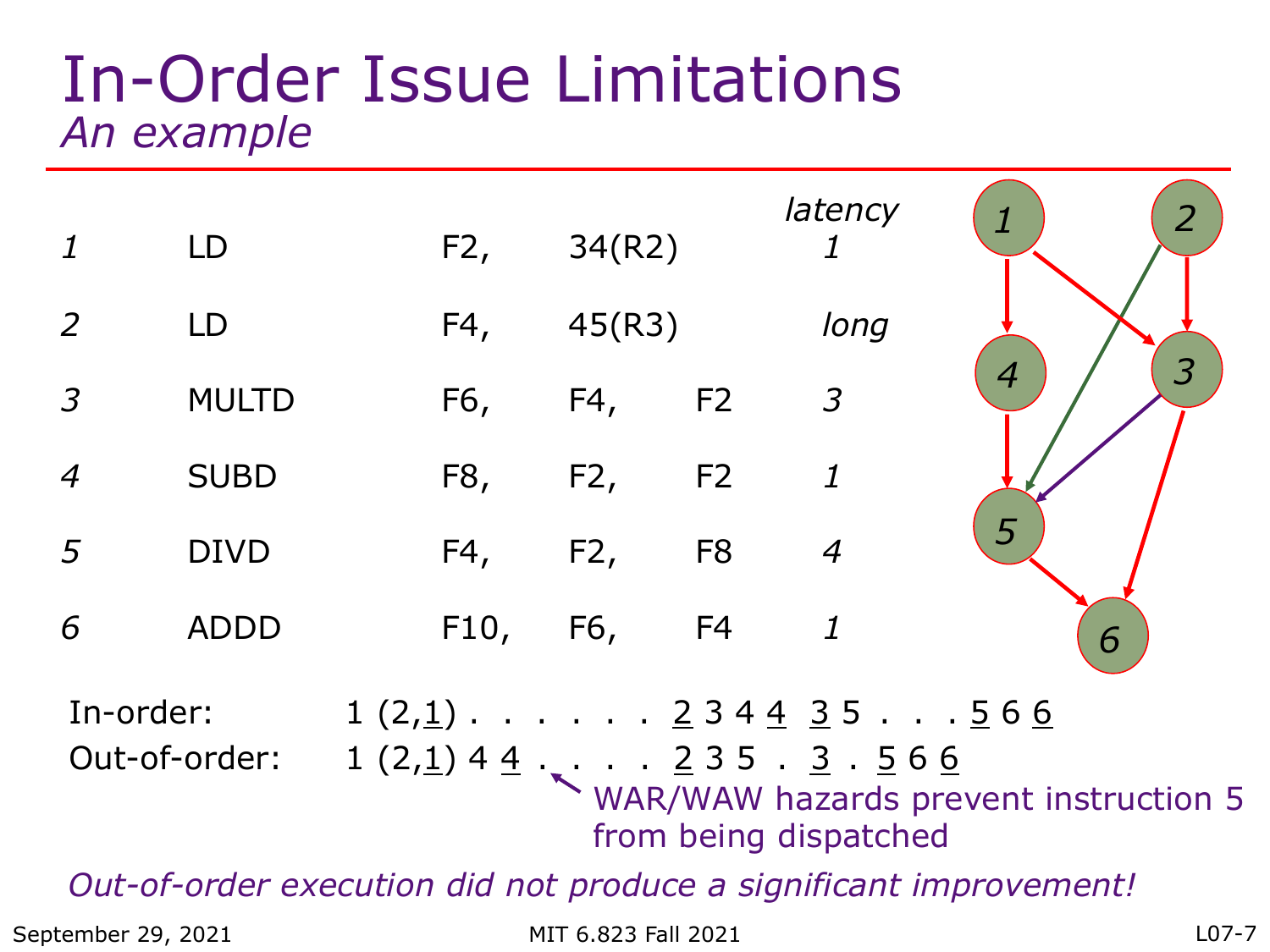#### In-Order Issue Limitations *An example*

| $\mathbf{1}$                                                      | LD            |  | F2,  | 34(R2) |                | latency                                                                                           | 2                                            |
|-------------------------------------------------------------------|---------------|--|------|--------|----------------|---------------------------------------------------------------------------------------------------|----------------------------------------------|
| 2                                                                 | LD            |  | F4,  | 45(R3) |                | long                                                                                              |                                              |
| $\overline{3}$                                                    | <b>MULTD</b>  |  | F6,  | F4,    | F2             | $\mathfrak{Z}$                                                                                    | $\overline{\mathcal{S}}$<br>$\boldsymbol{4}$ |
| $\overline{4}$                                                    | <b>SUBD</b>   |  | F8,  | F2,    | F <sub>2</sub> | $\boldsymbol{\mathit{1}}$                                                                         |                                              |
| 5                                                                 | <b>DIVD</b>   |  | F4,  | F2,    | F <sub>8</sub> | $\overline{4}$                                                                                    | 5                                            |
| 6                                                                 | <b>ADDD</b>   |  | F10, | F6,    | F4             | $\mathbf{1}$                                                                                      | 6                                            |
| In-order:                                                         | Out-of-order: |  |      |        |                | $1(2,1)$ 2 3 4 4 3 5  5 6 6<br>$1(2,1)$ 4 $\underline{4}$ $\dots$ $2$ 3 5 $\cdot$ 3 $\cdot$ 5 6 6 | WAR/WAW hazards prevent instruction 5        |
|                                                                   |               |  |      |        |                | from being dispatched                                                                             |                                              |
| Out-of-order execution did not produce a significant improvement! |               |  |      |        |                |                                                                                                   |                                              |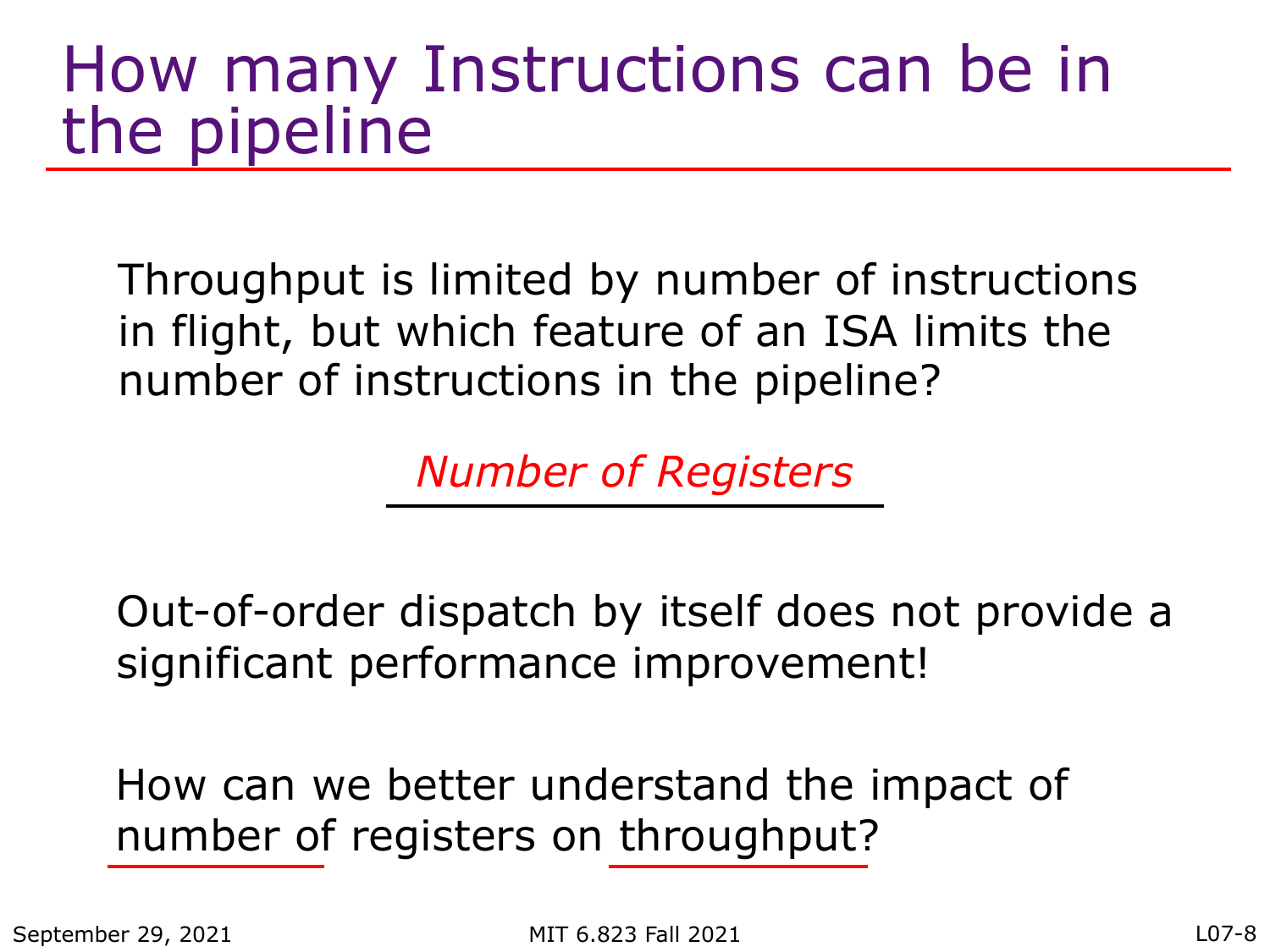#### How many Instructions can be in the pipeline

Throughput is limited by number of instructions in flight, but which feature of an ISA limits the number of instructions in the pipeline?

*Number of Registers*

Out-of-order dispatch by itself does not provide a significant performance improvement!

How can we better understand the impact of number of registers on throughput?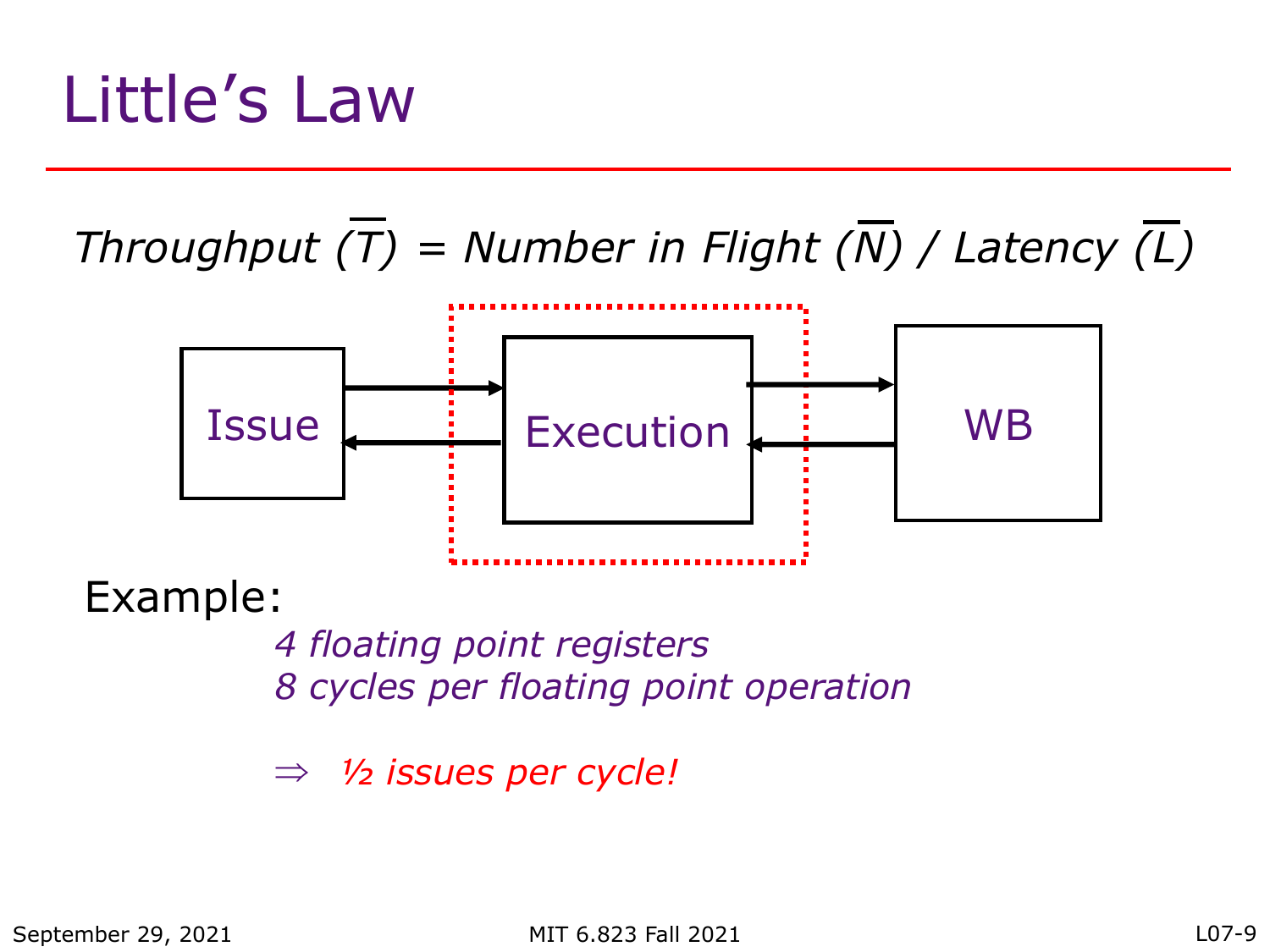### Little's Law

*Throughput (T) = Number in Flight (N) / Latency (L)*



Example:

*4 floating point registers 8 cycles per floating point operation*

Þ *½ issues per cycle!*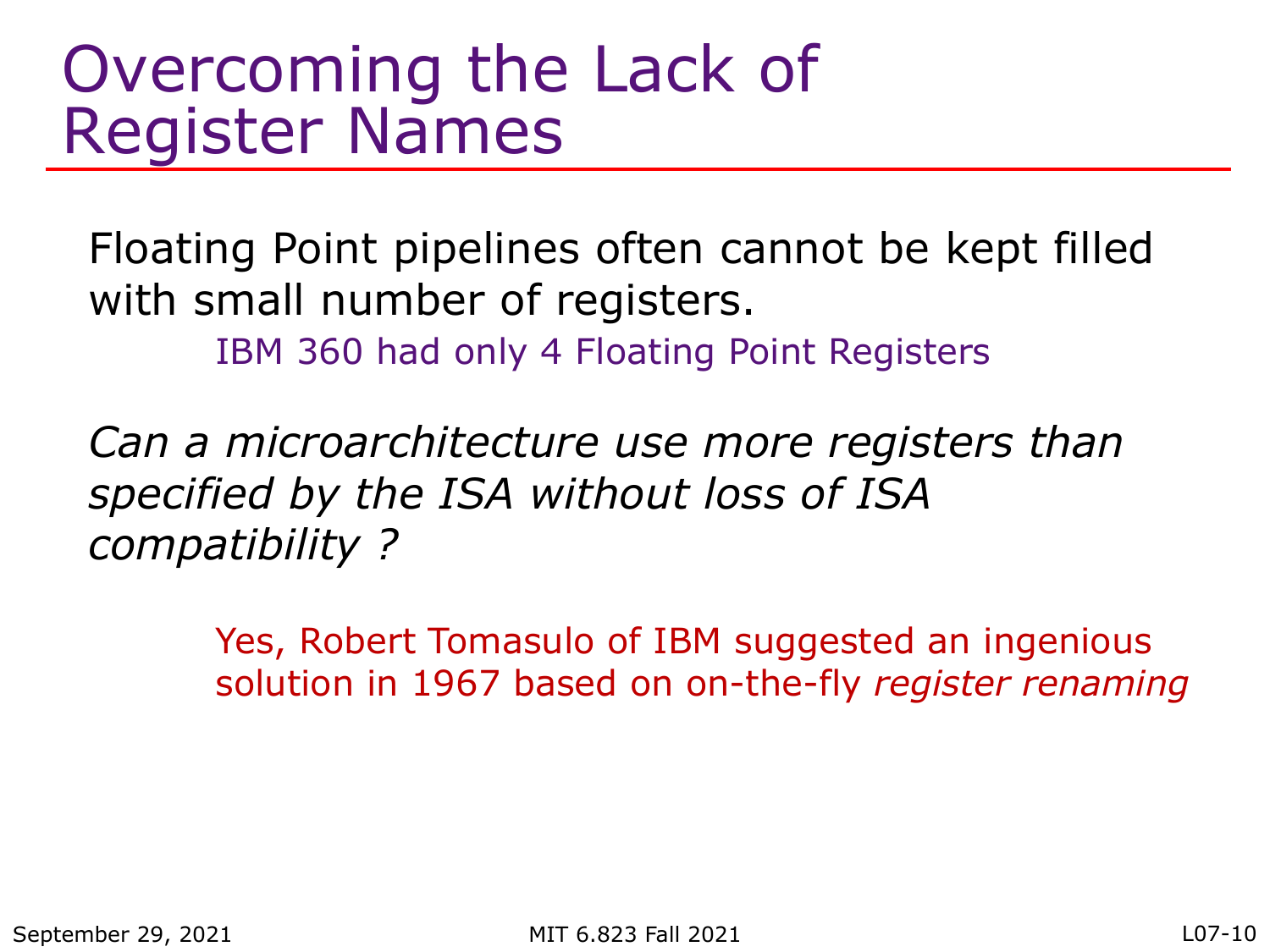#### Overcoming the Lack of Register Names

Floating Point pipelines often cannot be kept filled with small number of registers.

IBM 360 had only 4 Floating Point Registers

*Can a microarchitecture use more registers than specified by the ISA without loss of ISA compatibility ?*

> Yes, Robert Tomasulo of IBM suggested an ingenious solution in 1967 based on on-the-fly *register renaming*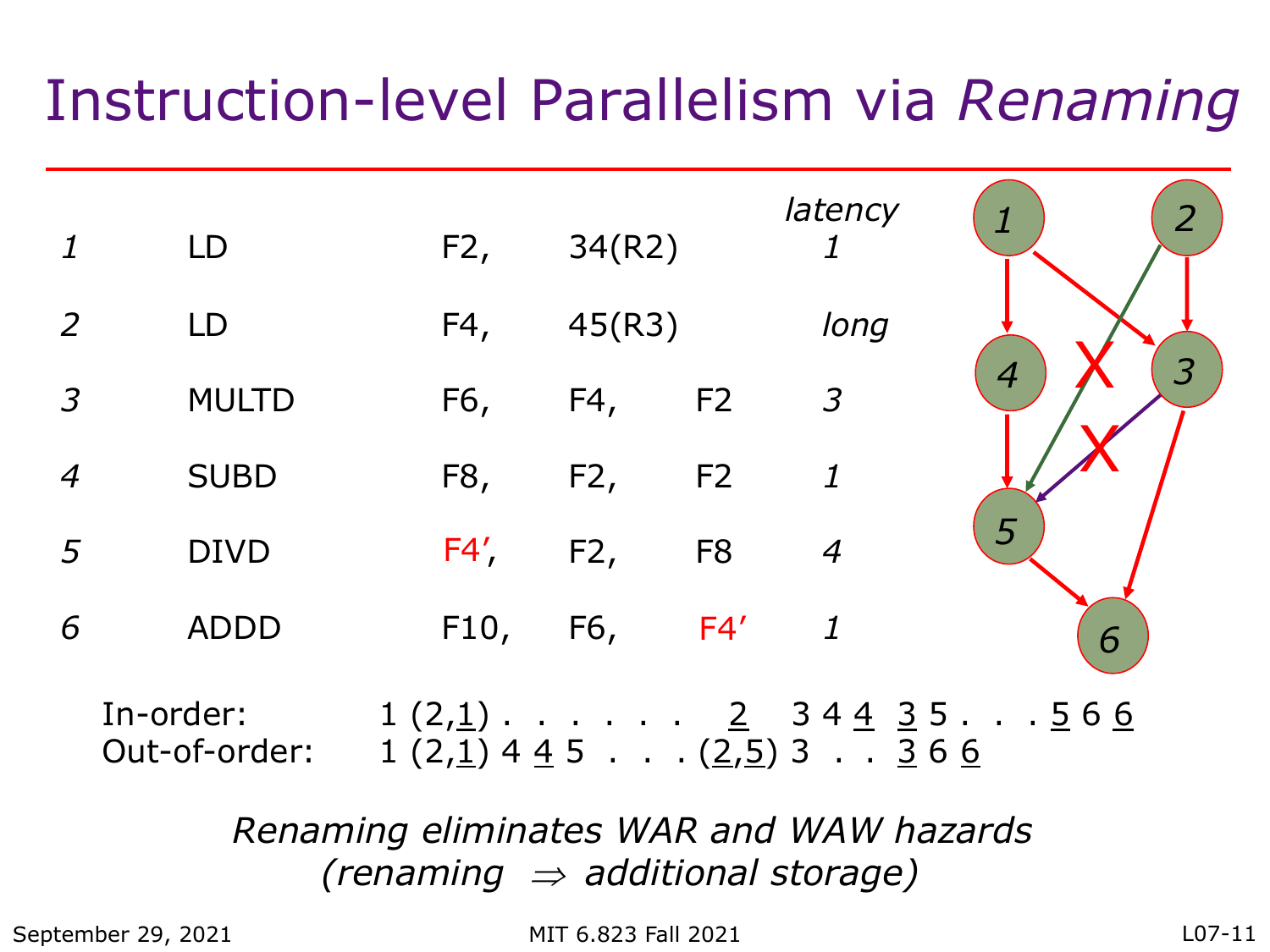#### Instruction-level Parallelism via *Renaming*

|                  | LD                         | F2,                                              | 34(R2) |                | latency                   | $\overline{2}$                              |
|------------------|----------------------------|--------------------------------------------------|--------|----------------|---------------------------|---------------------------------------------|
| 2                | LD                         | F4,                                              | 45(R3) |                | long                      |                                             |
| $\overline{3}$   | <b>MULTD</b>               | F6,                                              | F4,    | F <sub>2</sub> | $\overline{3}$            | 3<br>$\boldsymbol{4}$                       |
| $\boldsymbol{4}$ | <b>SUBD</b>                | F8,                                              | F2,    | F <sub>2</sub> | $\boldsymbol{\mathit{1}}$ |                                             |
| 5                | <b>DIVD</b>                | F4'                                              | F2,    | F <sub>8</sub> | $\overline{4}$            | 5                                           |
| 6                | <b>ADDD</b>                | F10,                                             | F6,    | F4'            | $\boldsymbol{\mathit{1}}$ | 6                                           |
|                  | In-order:<br>Out-of-order: | $1(2,1)$ 4 4 5 $\ldots$ $(2,5)$ 3 $\ldots$ 3 6 6 |        |                |                           | $1(2,1)$ <u>2</u> 34 <u>43</u> 5 <u>566</u> |

*Renaming eliminates WAR and WAW hazards (renaming*  $\Rightarrow$  *additional storage)* 

September 29, 2021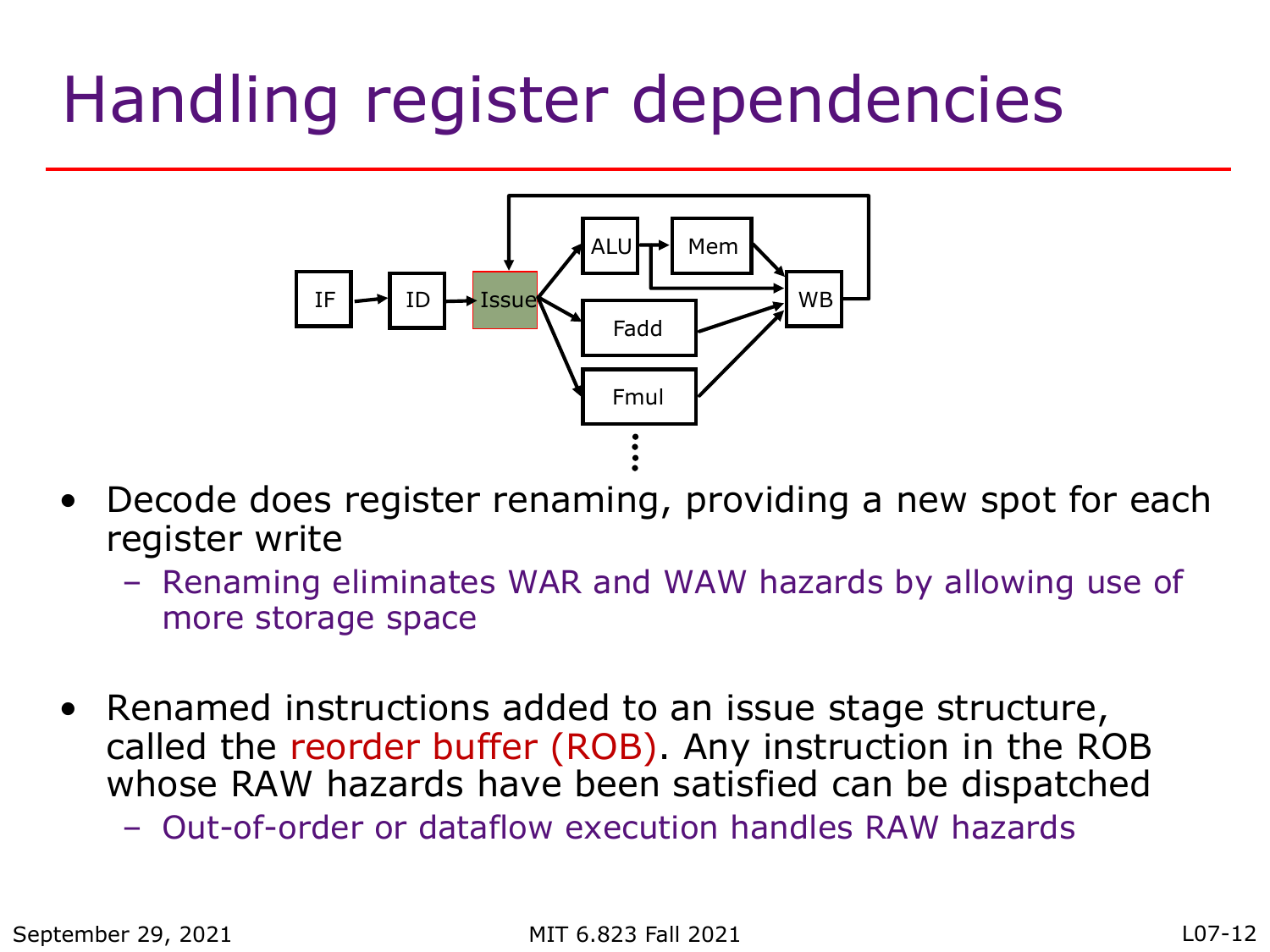### Handling register dependencies



- Decode does register renaming, providing a new spot for each register write
	- Renaming eliminates WAR and WAW hazards by allowing use of more storage space
- Renamed instructions added to an issue stage structure, called the reorder buffer (ROB). Any instruction in the ROB whose RAW hazards have been satisfied can be dispatched
	- Out-of-order or dataflow execution handles RAW hazards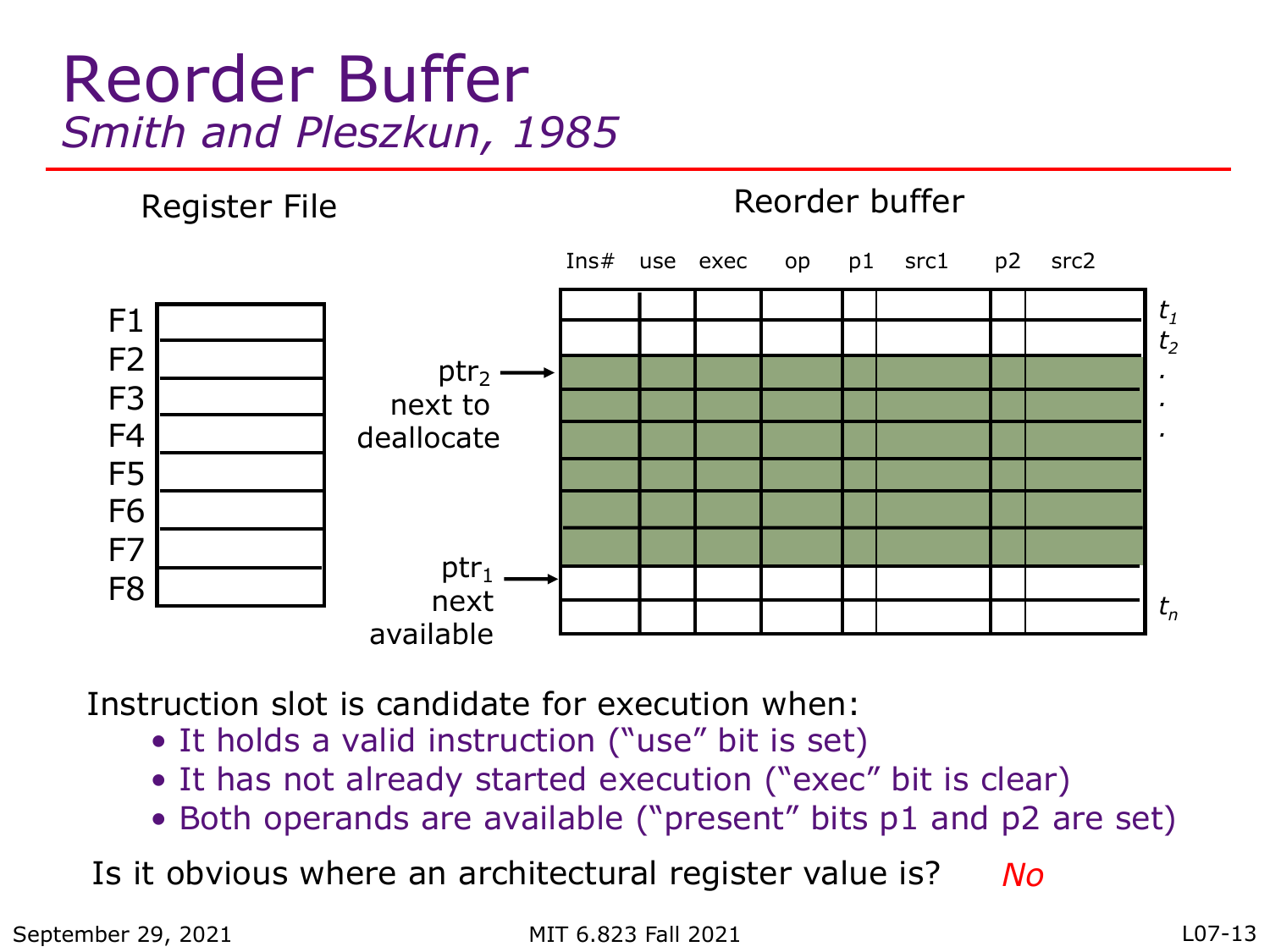#### Reorder Buffer *Smith and Pleszkun, 1985*



Instruction slot is candidate for execution when:

- It holds a valid instruction ("use" bit is set)
- It has not already started execution ("exec" bit is clear)
- Both operands are available ("present" bits p1 and p2 are set)

Is it obvious where an architectural register value is? *No*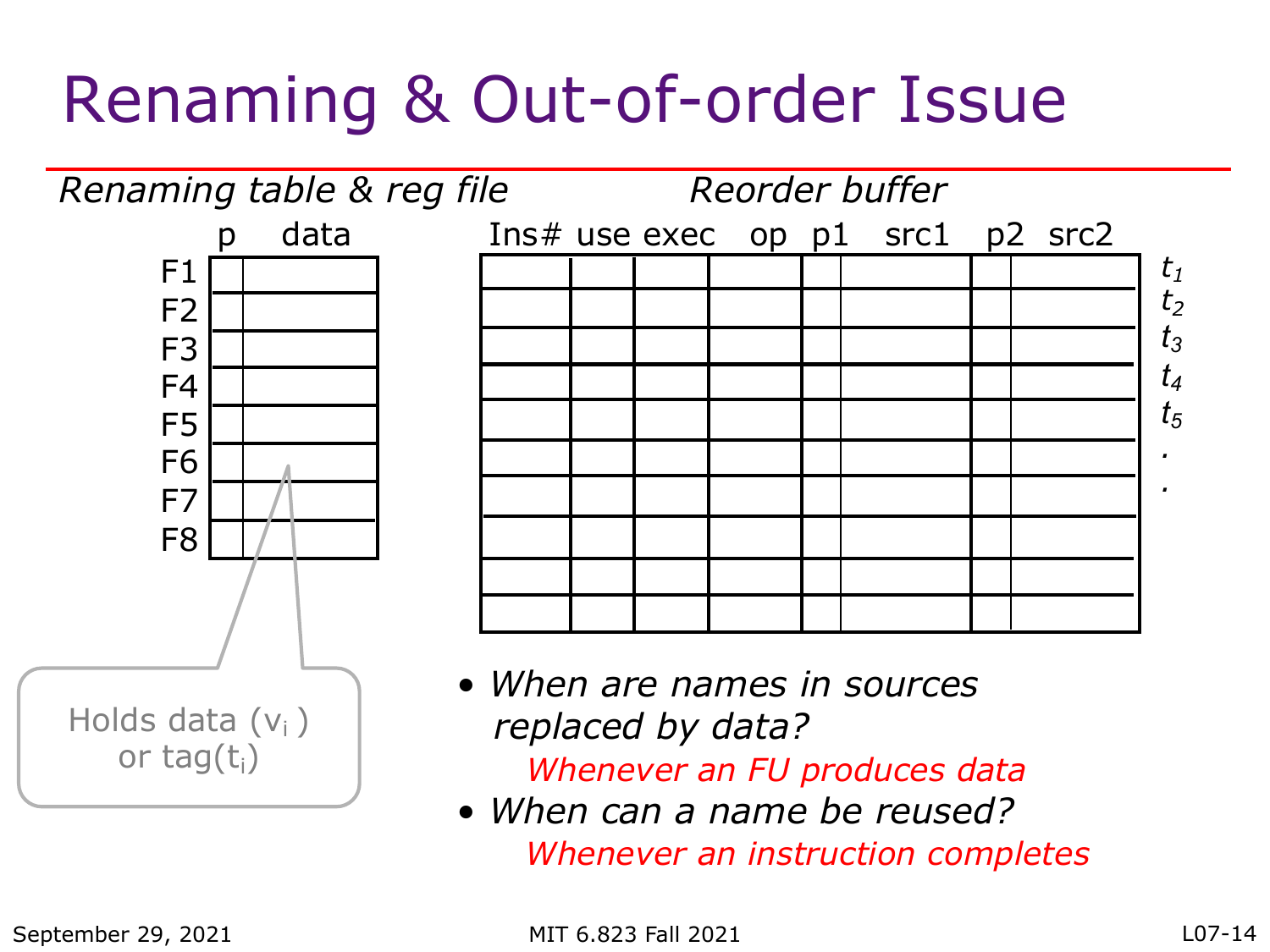# Renaming & Out-of-order Issue



• *When can a name be reused? Whenever an instruction completes*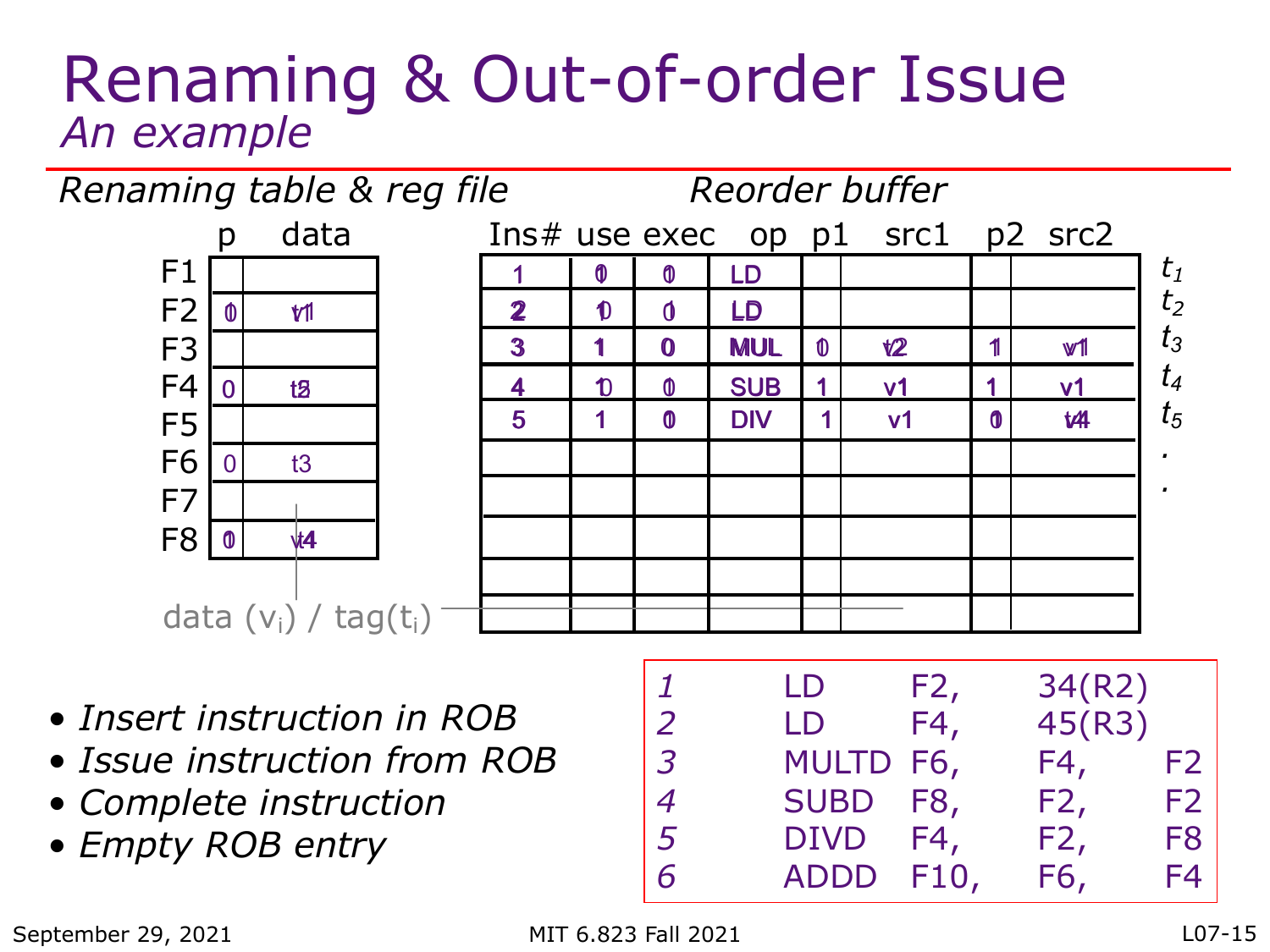#### Renaming & Out-of-order Issue *An example*



- *Insert instruction in ROB*
- *Issue instruction from ROB*
- *Complete instruction*
- *Empty ROB entry*

| 7              | LD          | F2,  | 34(R2) |                |
|----------------|-------------|------|--------|----------------|
| 2              | LD          | F4,  | 45(R3) |                |
| $\overline{3}$ | MULTD F6,   |      | F4,    | F <sub>2</sub> |
| 4              | <b>SUBD</b> | F8,  | F2,    | F <sub>2</sub> |
| $\overline{5}$ | <b>DIVD</b> | F4,  | F2,    | F <sub>8</sub> |
| 6              | <b>ADDD</b> | F10, | F6,    | F4             |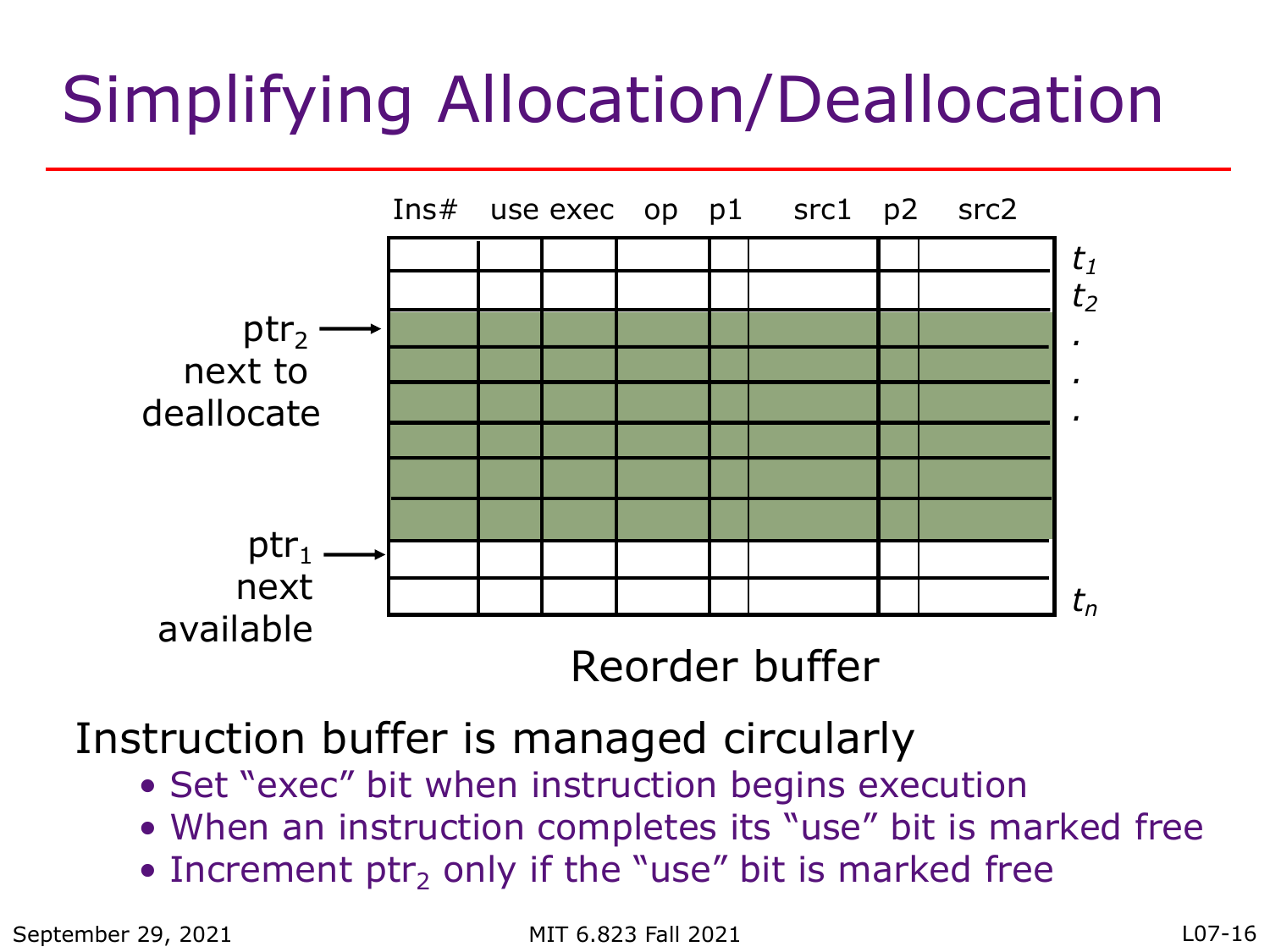# Simplifying Allocation/Deallocation



Instruction buffer is managed circularly

- Set "exec" bit when instruction begins execution
- When an instruction completes its "use" bit is marked free
- Increment ptr<sub>2</sub> only if the "use" bit is marked free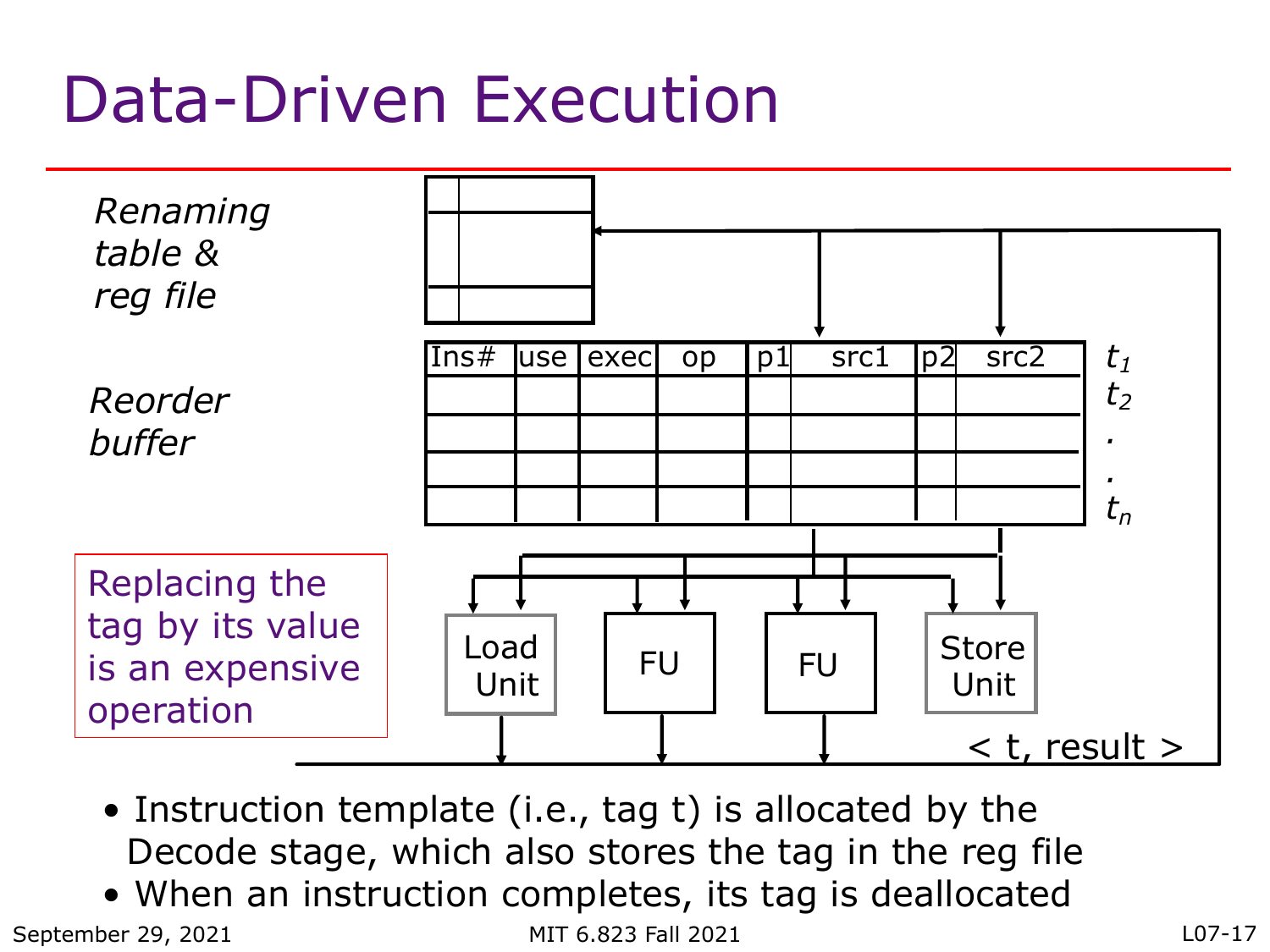### Data-Driven Execution



- Instruction template (i.e., tag t) is allocated by the Decode stage, which also stores the tag in the reg file
- When an instruction completes, its tag is deallocated

September 29, 2021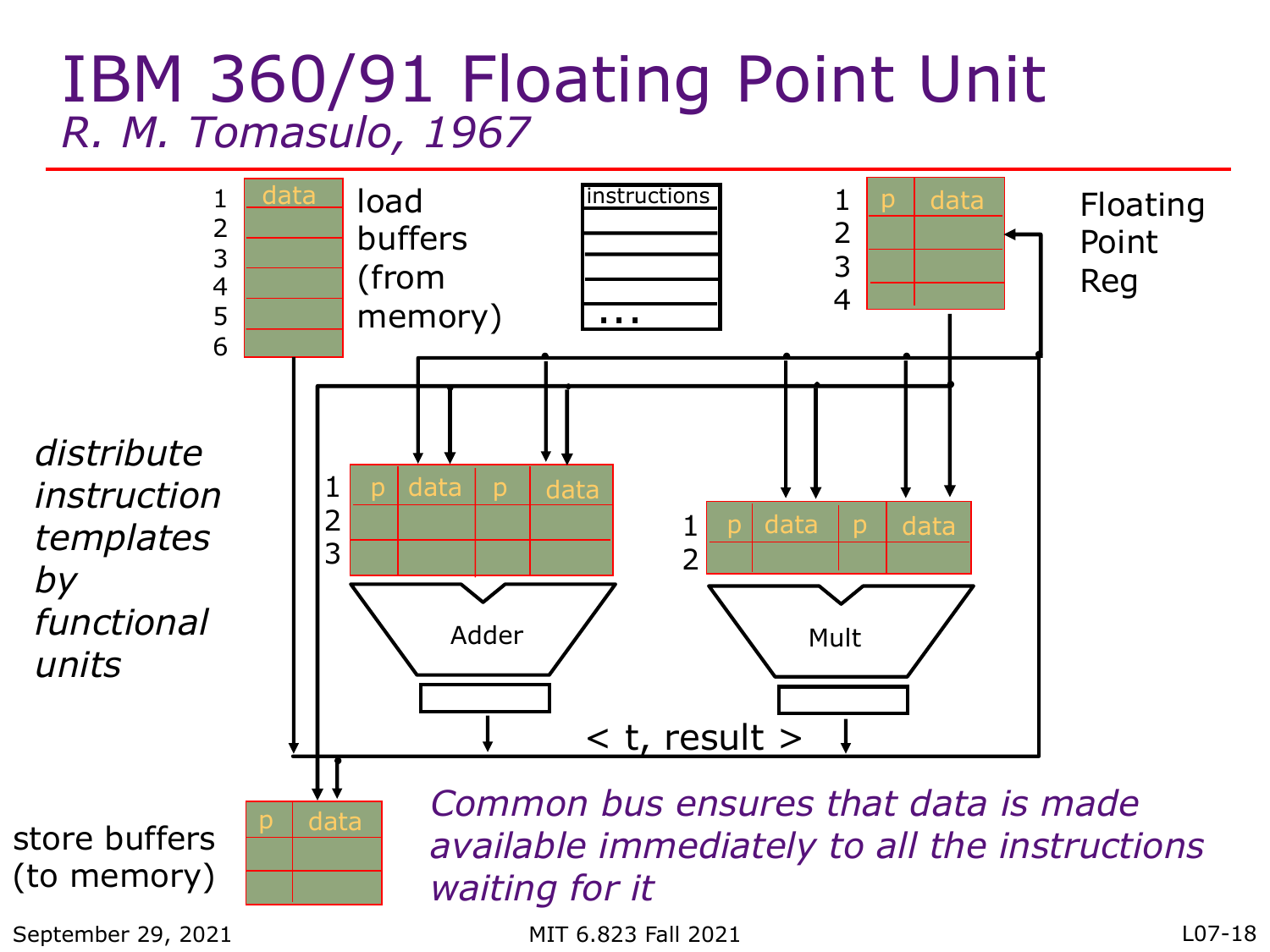#### IBM 360/91 Floating Point Unit *R. M. Tomasulo, 1967*

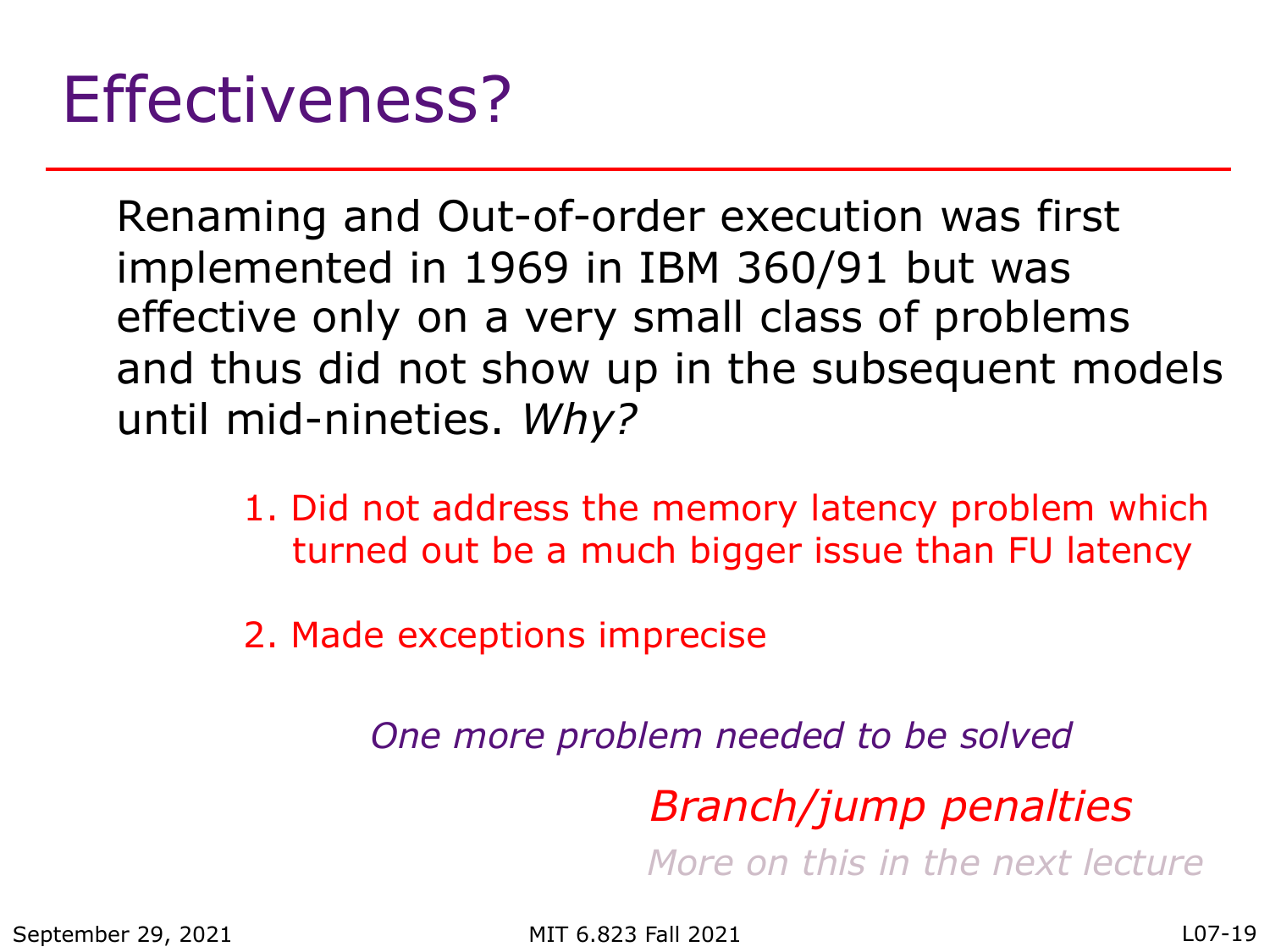Renaming and Out-of-order execution was first implemented in 1969 in IBM 360/91 but was effective only on a very small class of problems and thus did not show up in the subsequent models until mid-nineties. *Why?*

- 1. Did not address the memory latency problem which turned out be a much bigger issue than FU latency
- 2. Made exceptions imprecise

*One more problem needed to be solved*

*Branch/jump penalties*

*More on this in the next lecture*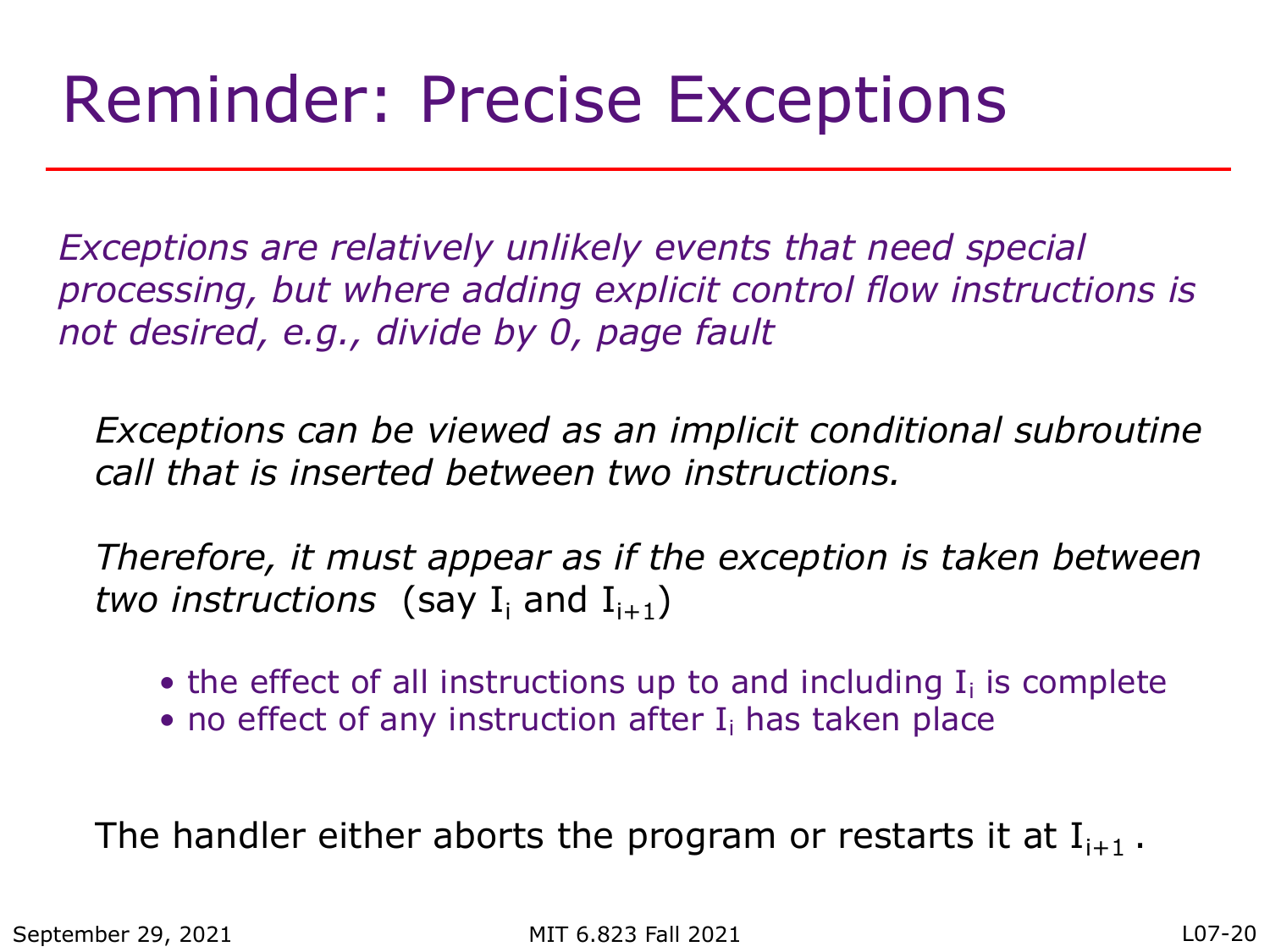### Reminder: Precise Exceptions

*Exceptions are relatively unlikely events that need special processing, but where adding explicit control flow instructions is not desired, e.g., divide by 0, page fault*

*Exceptions can be viewed as an implicit conditional subroutine call that is inserted between two instructions.*

*Therefore, it must appear as if the exception is taken between two instructions* (say  $I_i$  and  $I_{i+1}$ )

- the effect of all instructions up to and including  $I_i$  is complete
- no effect of any instruction after  $I_i$  has taken place

The handler either aborts the program or restarts it at  $I_{i+1}$ .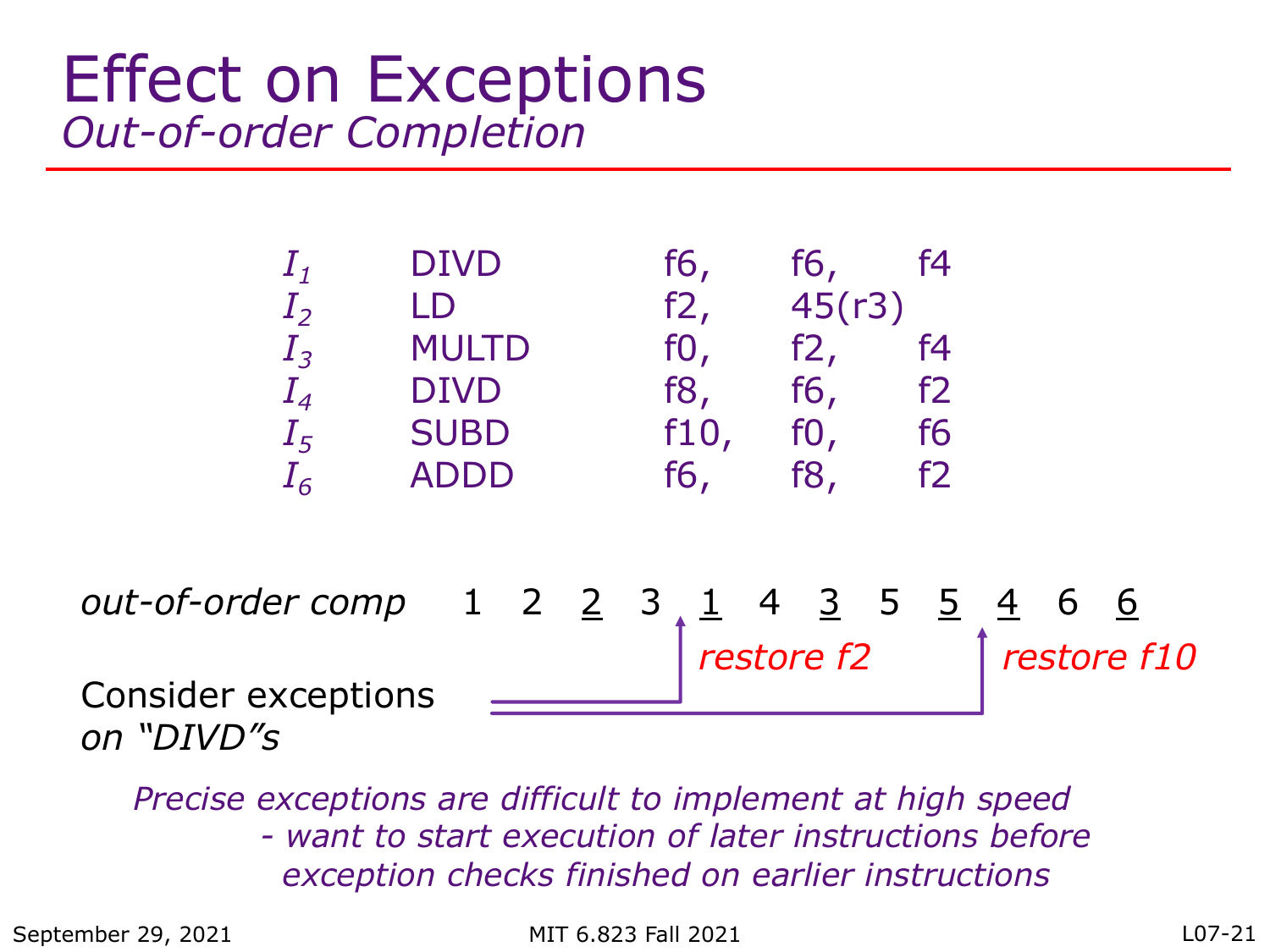#### Effect on Exceptions *Out-of-order Completion*

| $\boldsymbol{\varLambda}$ | <b>DIVD</b>  | f6,  | f6,              | f4    |  |
|---------------------------|--------------|------|------------------|-------|--|
| $I_2$                     | LD           | f2,  | 45(r3)           |       |  |
| $I_3$                     | <b>MULTD</b> | f0,  | f2,              | $f$ 4 |  |
| $I_4$                     | <b>DIVD</b>  | f8,  | f6,              | f2    |  |
| $I_5$                     | <b>SUBD</b>  | f10, | f <sub>0</sub> , | f6    |  |
| $I_6$                     | <b>ADDD</b>  | f6,  | f8,              | f2    |  |
|                           |              |      |                  |       |  |
|                           |              |      |                  |       |  |

*out-of-order comp* 1 2 2 3 1 4 3 5 5 4 6 6 Consider exceptions *on "DIVD"s restore f2 restore f10*

*Precise exceptions are difficult to implement at high speed - want to start execution of later instructions before exception checks finished on earlier instructions*

September 29, 2021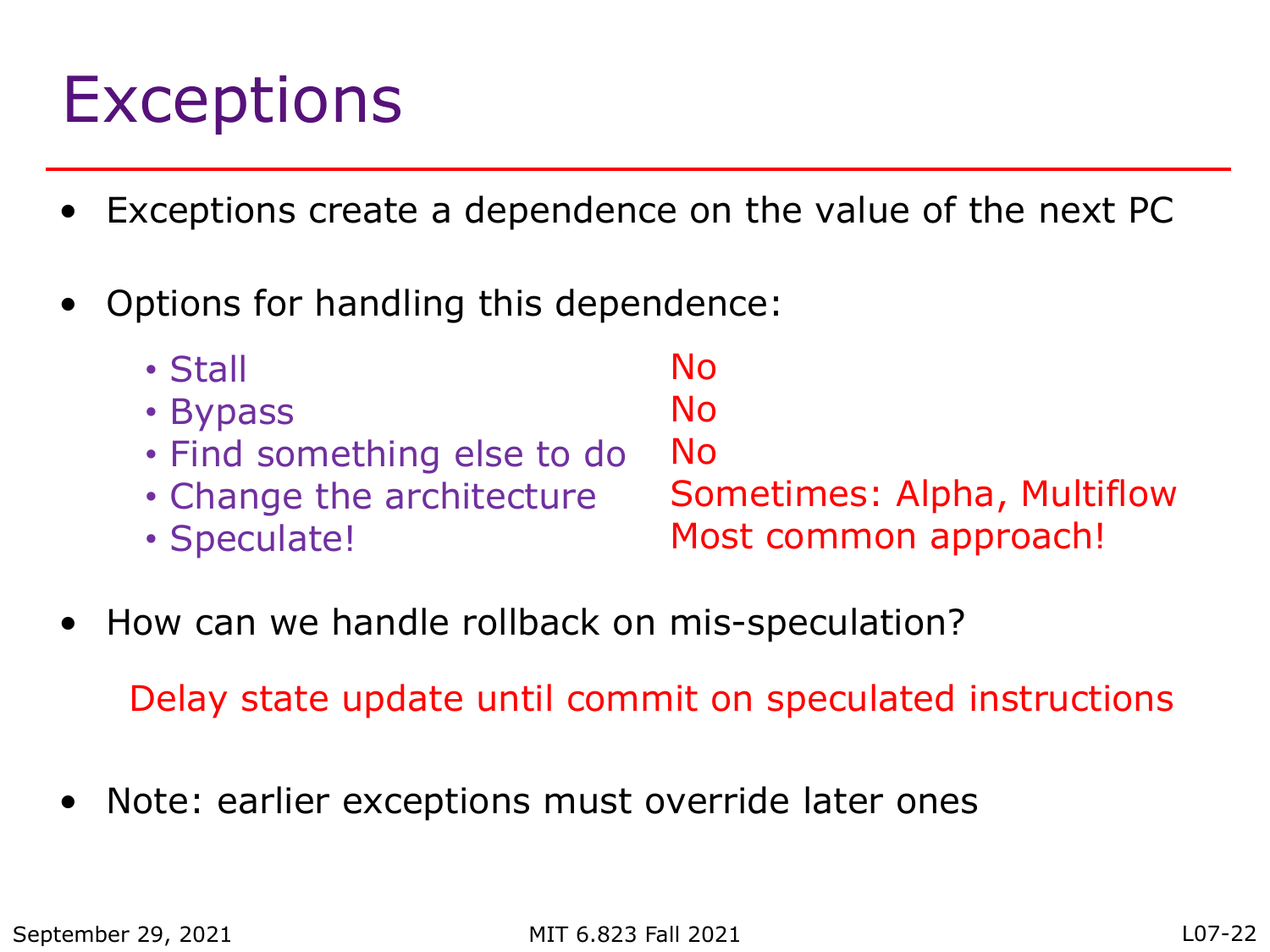### **Exceptions**

- Exceptions create a dependence on the value of the next PC
- Options for handling this dependence:

| $\cdot$ Stall               | No.                         |
|-----------------------------|-----------------------------|
| • Bypass                    | No.                         |
| . Find something else to do | No.                         |
| • Change the architecture   | Sometimes: Alpha, Multiflow |
| · Speculate!                | Most common approach!       |

• How can we handle rollback on mis-speculation?

Delay state update until commit on speculated instructions

Note: earlier exceptions must override later ones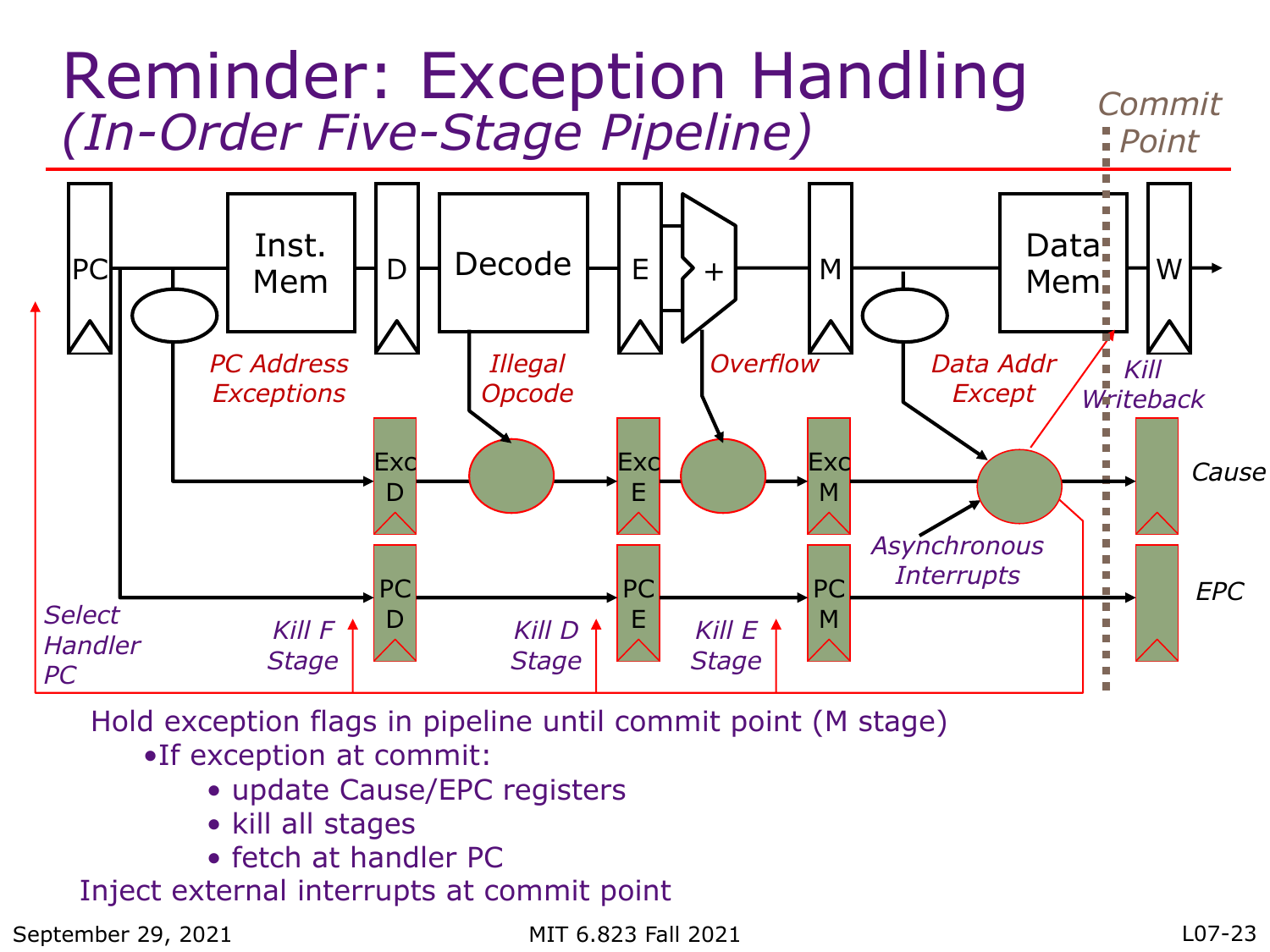

Hold exception flags in pipeline until commit point (M stage)

- •If exception at commit:
	- update Cause/EPC registers
	- kill all stages
	- fetch at handler PC

Inject external interrupts at commit point

September 29, 2021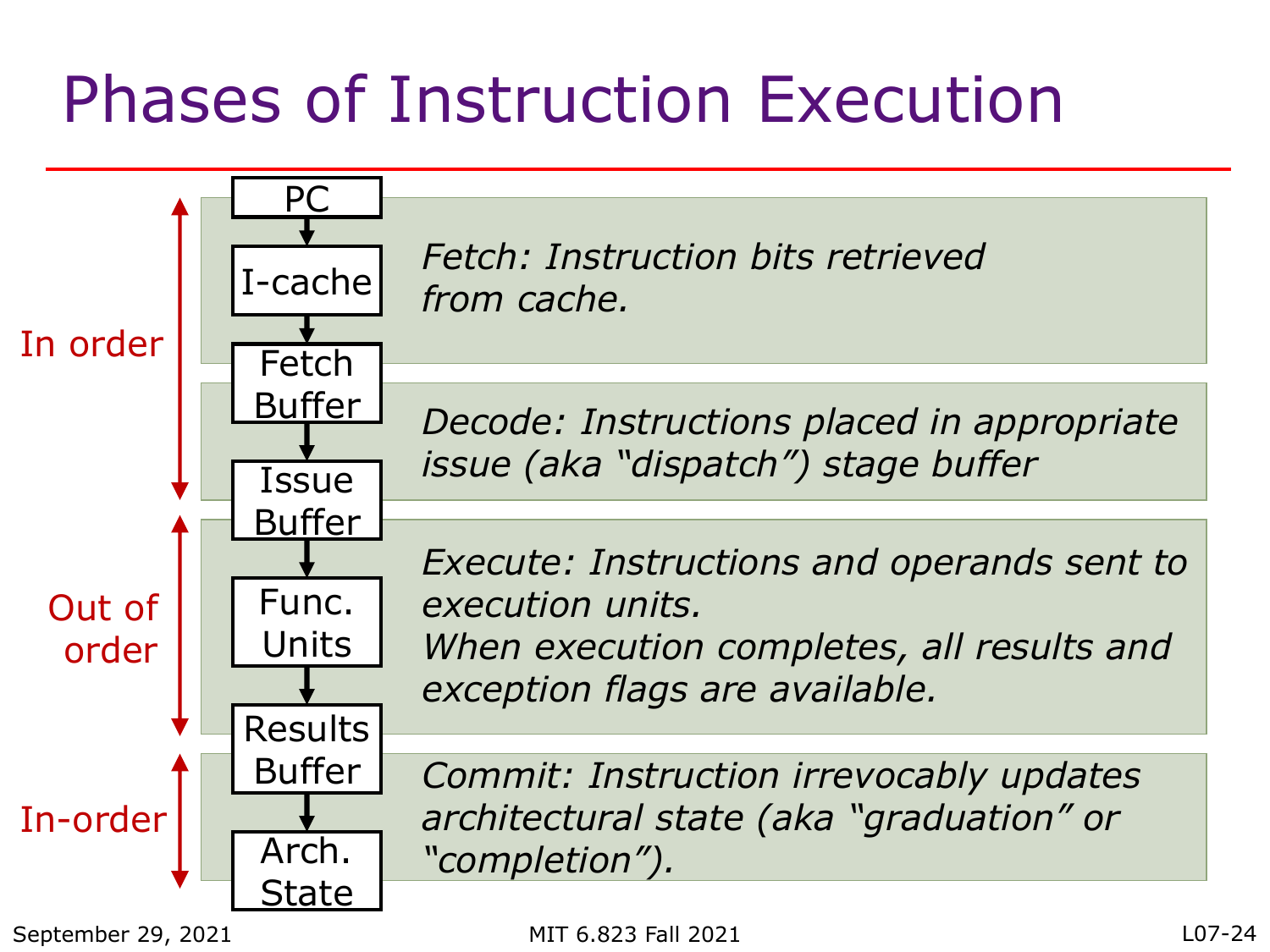# Phases of Instruction Execution

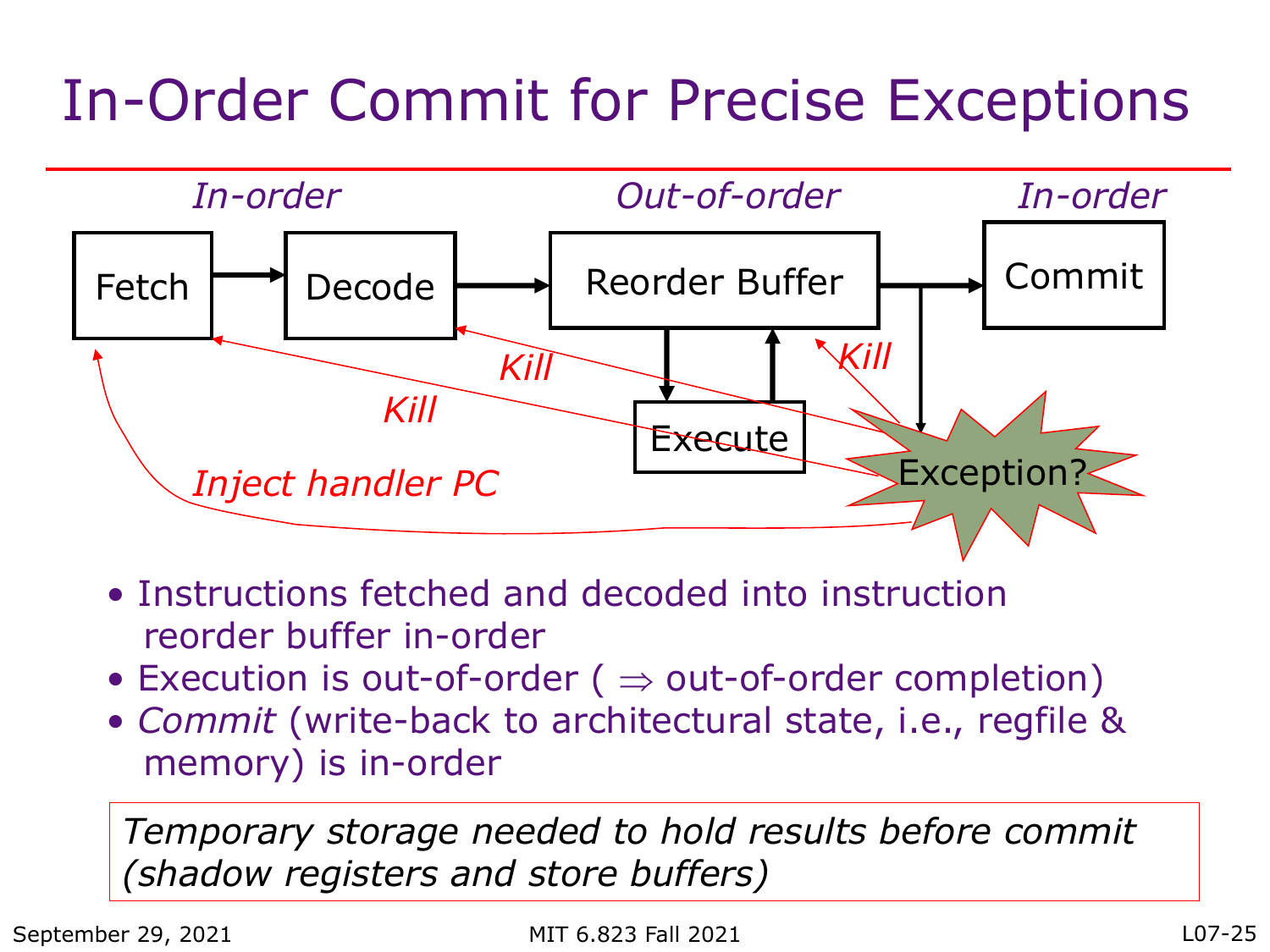#### In-Order Commit for Precise Exceptions



- Instructions fetched and decoded into instruction reorder buffer in-order
- Execution is out-of-order ( $\Rightarrow$  out-of-order completion)
- *Commit* (write-back to architectural state, i.e., regfile & memory) is in-order

*Temporary storage needed to hold results before commit (shadow registers and store buffers)*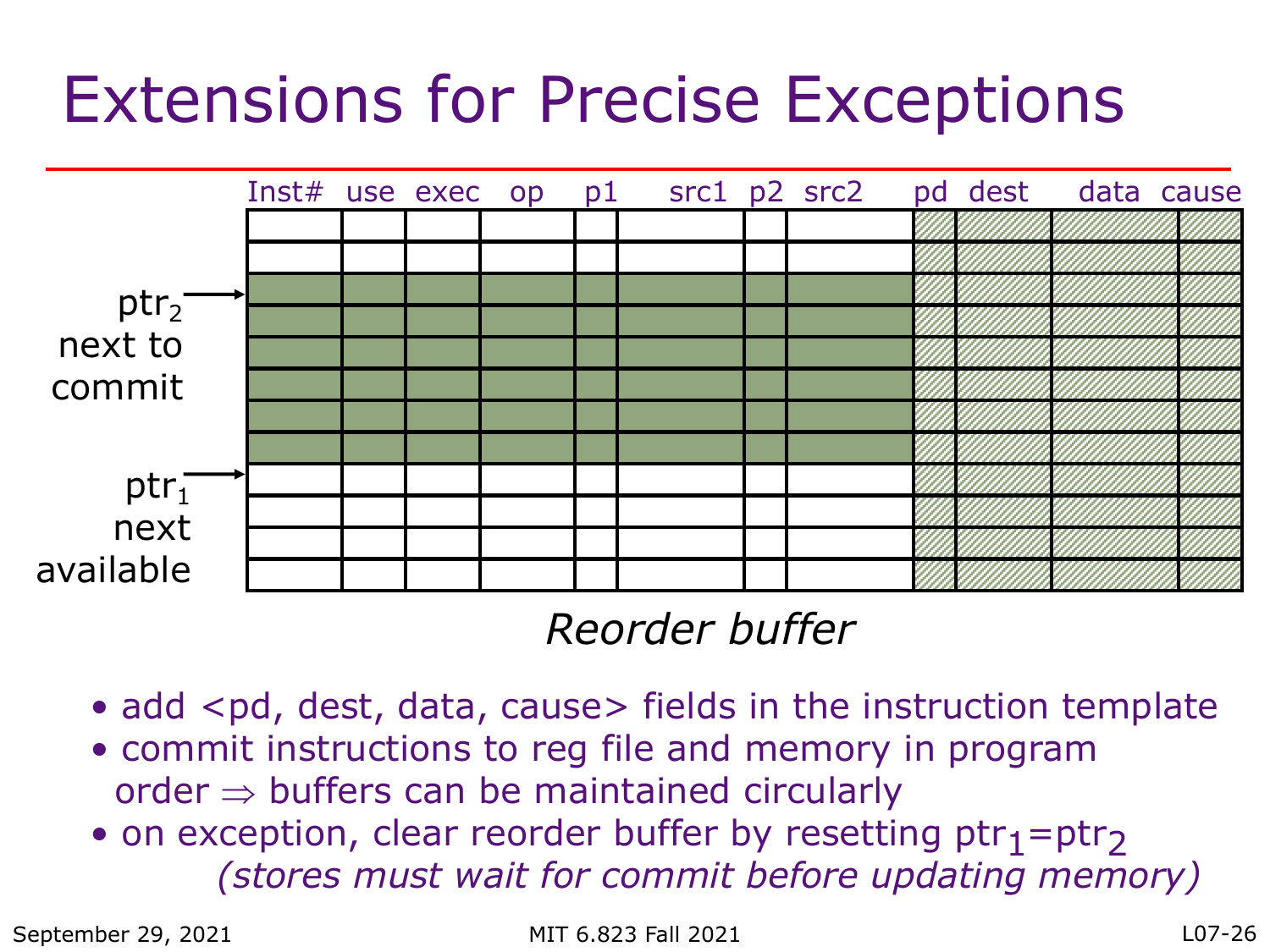### Extensions for Precise Exceptions



#### *Reorder buffer*

- add <pd, dest, data, cause> fields in the instruction template
- commit instructions to reg file and memory in program  $order \Rightarrow buffers can be maintained circularly$
- on exception, clear reorder buffer by resetting  $ptr_1=ptr_2$ *(stores must wait for commit before updating memory)*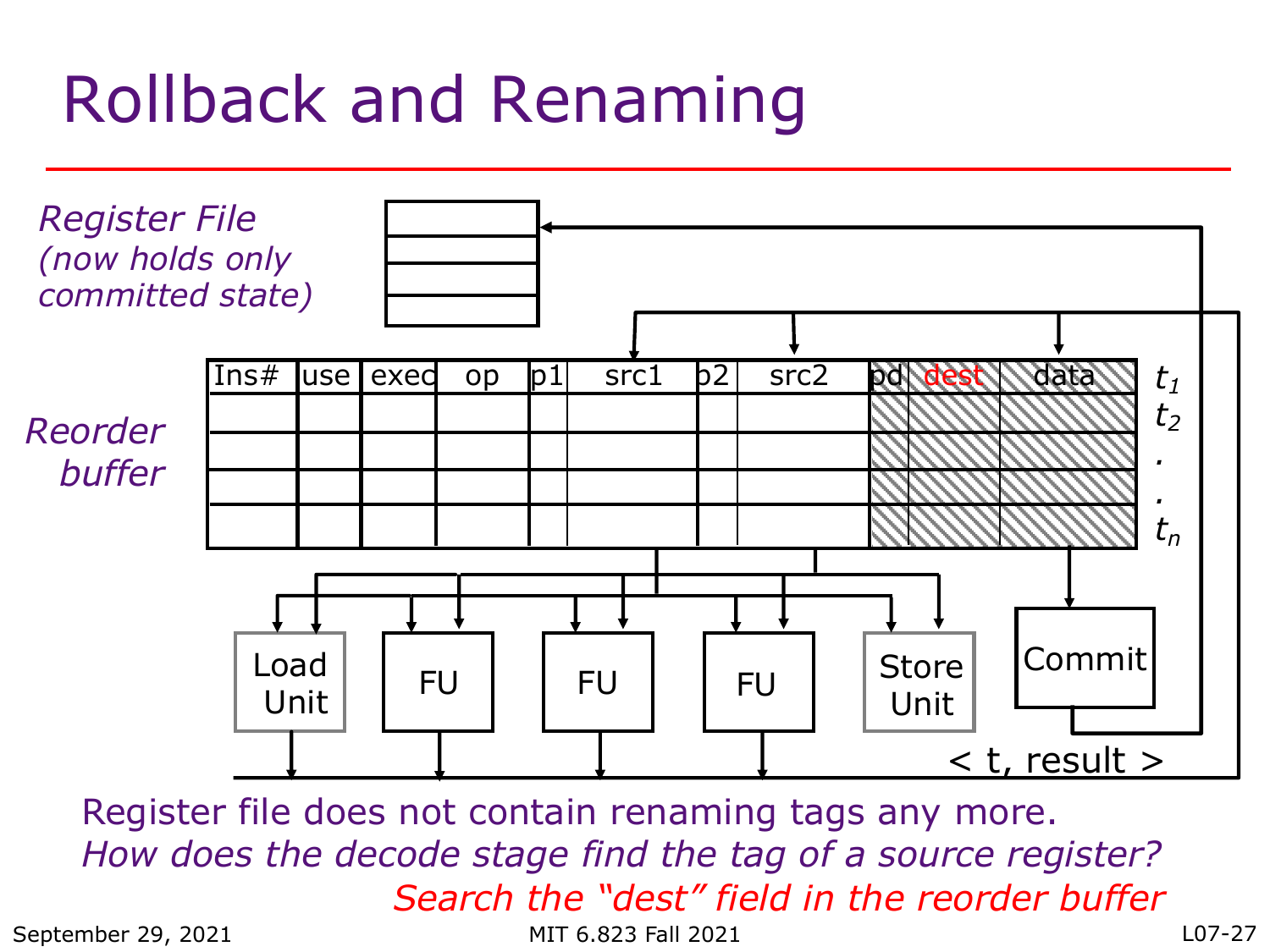# Rollback and Renaming



Register file does not contain renaming tags any more. *How does the decode stage find the tag of a source register? Search the "dest" field in the reorder buffer*

September 29, 2021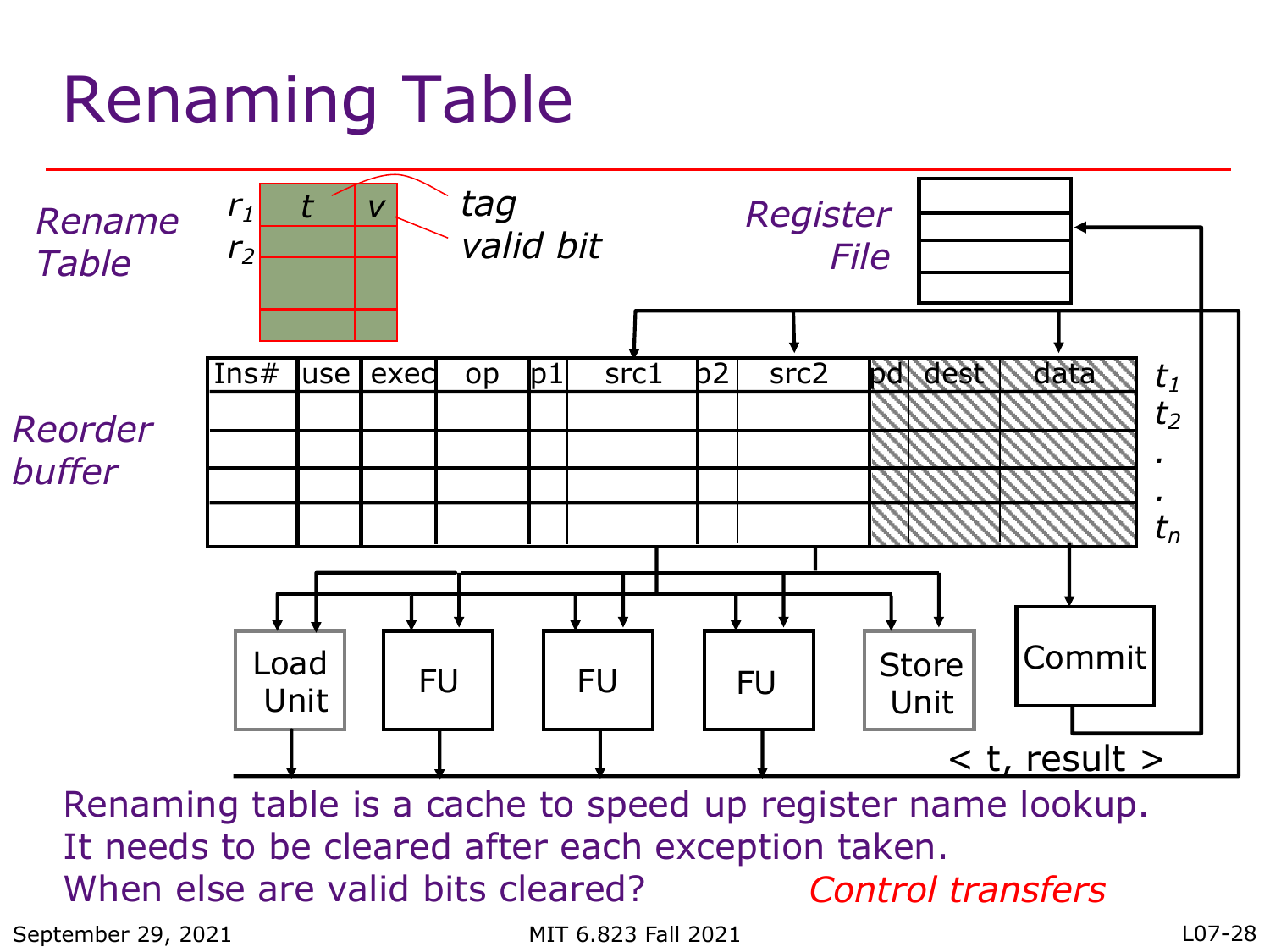# Renaming Table



Renaming table is a cache to speed up register name lookup. It needs to be cleared after each exception taken. When else are valid bits cleared? *Control transfers*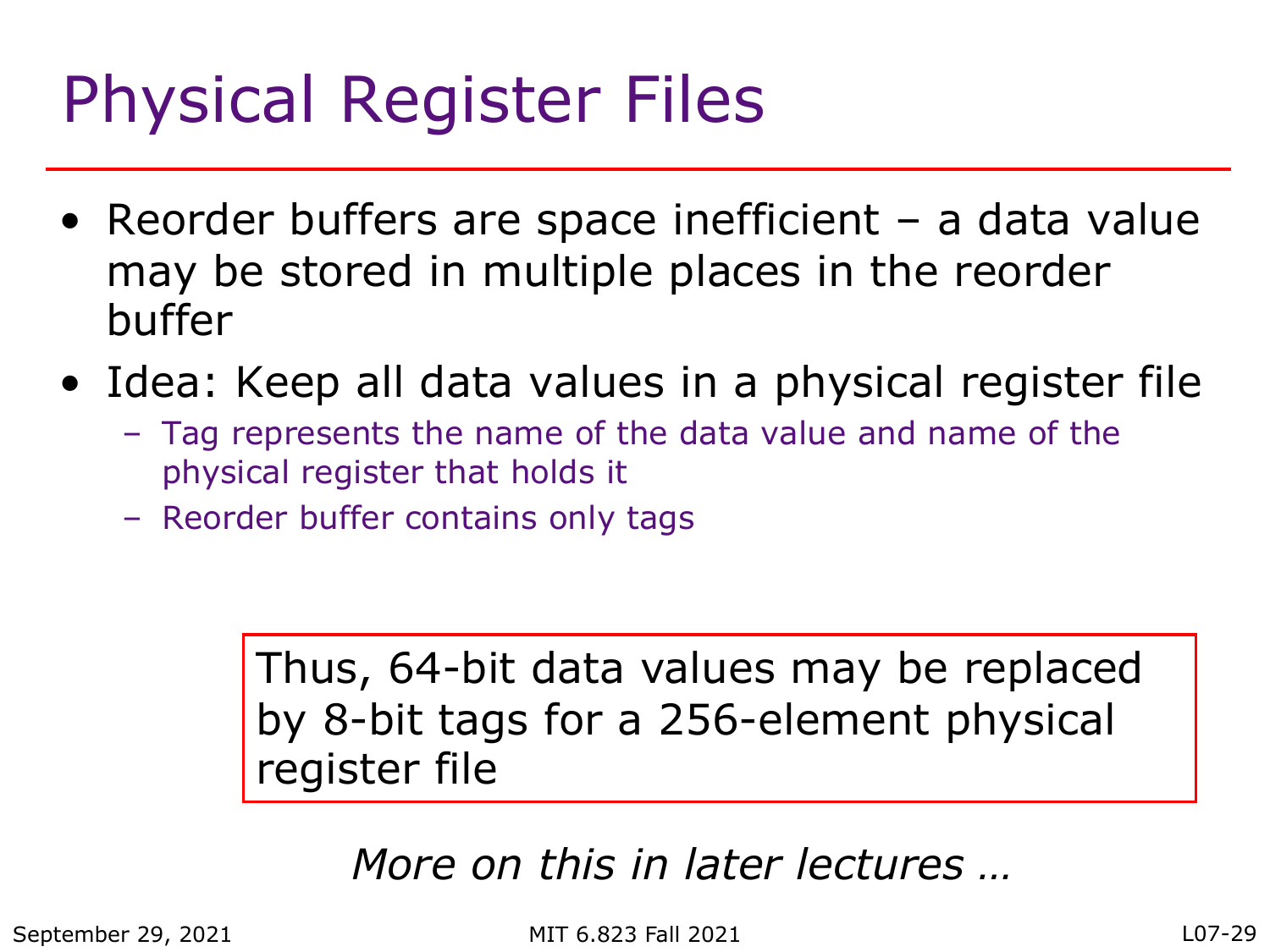# Physical Register Files

- Reorder buffers are space inefficient a data value may be stored in multiple places in the reorder buffer
- Idea: Keep all data values in a physical register file
	- Tag represents the name of the data value and name of the physical register that holds it
	- Reorder buffer contains only tags

Thus, 64-bit data values may be replaced by 8-bit tags for a 256-element physical register file

#### *More on this in later lectures …*

September 29, 2021